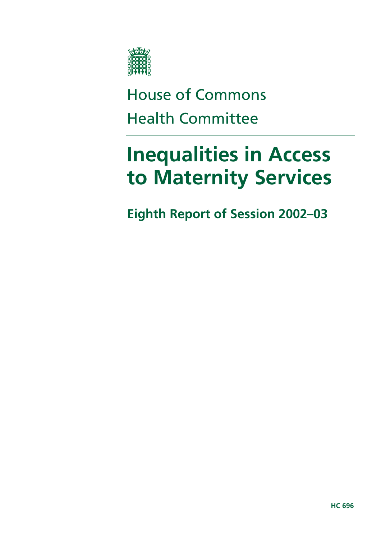

# House of Commons Health Committee

# **Inequalities in Access to Maternity Services**

**Eighth Report of Session 2002–03**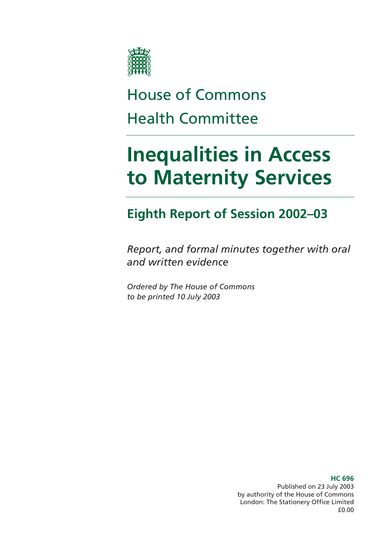

# House of Commons Health Committee

# **Inequalities in Access to Maternity Services**

# **Eighth Report of Session 2002–03**

*Report, and formal minutes together with oral and written evidence* 

*Ordered by The House of Commons to be printed 10 July 2003* 

> **HC 696**  Published on 23 July 2003 by authority of the House of Commons London: The Stationery Office Limited £0.00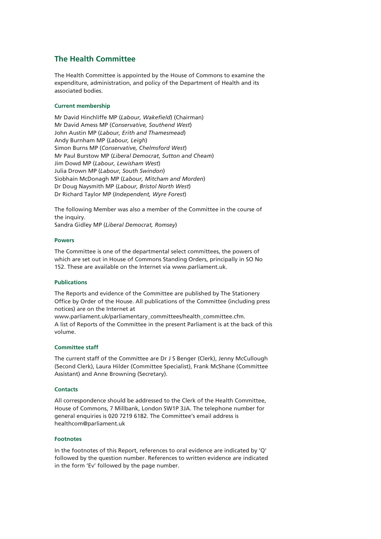#### **The Health Committee**

The Health Committee is appointed by the House of Commons to examine the expenditure, administration, and policy of the Department of Health and its associated bodies.

#### **Current membership**

Mr David Hinchliffe MP (*Labour, Wakefield*) (Chairman) Mr David Amess MP (*Conservative, Southend West*) John Austin MP (*Labour, Erith and Thamesmead*) Andy Burnham MP (*Labour, Leigh*) Simon Burns MP (*Conservative, Chelmsford West*) Mr Paul Burstow MP (*Liberal Democrat*, *Sutton and Cheam*) Jim Dowd MP (*Labour, Lewisham West*) Julia Drown MP (*Labour, South Swindon*) Siobhain McDonagh MP (*Labour, Mitcham and Morden*) Dr Doug Naysmith MP (*Labour, Bristol North West*) Dr Richard Taylor MP (*Independent, Wyre Forest*)

The following Member was also a member of the Committee in the course of the inquiry. Sandra Gidley MP (*Liberal Democrat, Romsey*)

#### **Powers**

The Committee is one of the departmental select committees, the powers of which are set out in House of Commons Standing Orders, principally in SO No 152. These are available on the Internet via www.parliament.uk.

#### **Publications**

The Reports and evidence of the Committee are published by The Stationery Office by Order of the House. All publications of the Committee (including press notices) are on the Internet at

www.parliament.uk/parliamentary\_committees/health\_committee.cfm. A list of Reports of the Committee in the present Parliament is at the back of this volume.

#### **Committee staff**

The current staff of the Committee are Dr J S Benger (Clerk), Jenny McCullough (Second Clerk), Laura Hilder (Committee Specialist), Frank McShane (Committee Assistant) and Anne Browning (Secretary).

#### **Contacts**

All correspondence should be addressed to the Clerk of the Health Committee, House of Commons, 7 Millbank, London SW1P 3JA. The telephone number for general enquiries is 020 7219 6182. The Committee's email address is healthcom@parliament.uk

#### **Footnotes**

In the footnotes of this Report, references to oral evidence are indicated by 'Q' followed by the question number. References to written evidence are indicated in the form 'Ev' followed by the page number.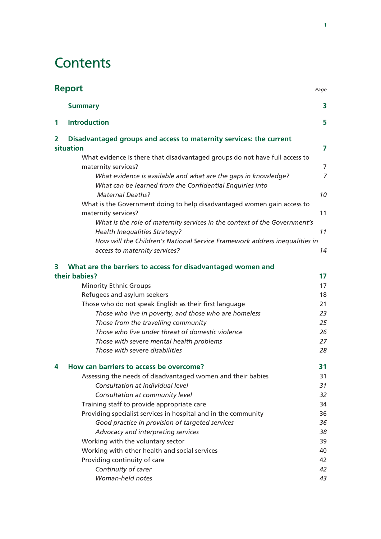### **Contents**

| <b>Report</b><br>Page |                                                                                                                            |                |
|-----------------------|----------------------------------------------------------------------------------------------------------------------------|----------------|
|                       | <b>Summary</b>                                                                                                             | 3              |
| 1                     | <b>Introduction</b>                                                                                                        | 5              |
| 2                     | Disadvantaged groups and access to maternity services: the current                                                         |                |
|                       | situation                                                                                                                  | 7              |
|                       | What evidence is there that disadvantaged groups do not have full access to                                                |                |
|                       | maternity services?                                                                                                        | 7              |
|                       | What evidence is available and what are the gaps in knowledge?<br>What can be learned from the Confidential Enquiries into | $\overline{7}$ |
|                       | <b>Maternal Deaths?</b>                                                                                                    | 10             |
|                       | What is the Government doing to help disadvantaged women gain access to<br>maternity services?                             | 11             |
|                       | What is the role of maternity services in the context of the Government's                                                  |                |
|                       | <b>Health Inequalities Strategy?</b>                                                                                       | 11             |
|                       | How will the Children's National Service Framework address inequalities in                                                 |                |
|                       | access to maternity services?                                                                                              | 14             |
| 3                     | What are the barriers to access for disadvantaged women and                                                                |                |
|                       | their babies?                                                                                                              | 17             |
|                       | <b>Minority Ethnic Groups</b>                                                                                              | 17             |
|                       | Refugees and asylum seekers                                                                                                | 18             |
|                       | Those who do not speak English as their first language                                                                     | 21             |
|                       | Those who live in poverty, and those who are homeless                                                                      | 23             |
|                       | Those from the travelling community                                                                                        | 25             |
|                       | Those who live under threat of domestic violence                                                                           | 26             |
|                       | Those with severe mental health problems                                                                                   | 27             |
|                       | Those with severe disabilities                                                                                             | 28             |
| 4                     | How can barriers to access be overcome?                                                                                    | 31             |
|                       | Assessing the needs of disadvantaged women and their babies                                                                | 31             |
|                       | Consultation at individual level                                                                                           | 31             |
|                       | Consultation at community level                                                                                            | 32             |
|                       | Training staff to provide appropriate care                                                                                 | 34             |
|                       | Providing specialist services in hospital and in the community                                                             | 36             |
|                       | Good practice in provision of targeted services                                                                            | 36             |
|                       | Advocacy and interpreting services                                                                                         | 38             |
|                       | Working with the voluntary sector                                                                                          | 39             |
|                       | Working with other health and social services                                                                              | 40             |
|                       | Providing continuity of care                                                                                               | 42             |
|                       | Continuity of carer                                                                                                        | 42             |
|                       | Woman-held notes                                                                                                           | 43             |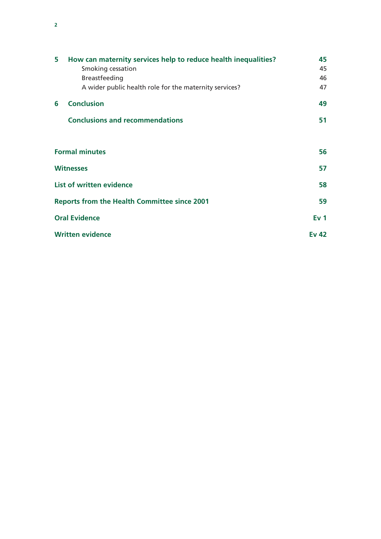| 5 | How can maternity services help to reduce health inequalities? |                 |
|---|----------------------------------------------------------------|-----------------|
|   | Smoking cessation                                              | 45              |
|   | <b>Breastfeeding</b>                                           | 46              |
|   | A wider public health role for the maternity services?         | 47              |
| 6 | <b>Conclusion</b>                                              | 49              |
|   | <b>Conclusions and recommendations</b>                         | 51              |
|   |                                                                |                 |
|   | <b>Formal minutes</b>                                          | 56              |
|   | <b>Witnesses</b>                                               | 57              |
|   | List of written evidence                                       | 58              |
|   | <b>Reports from the Health Committee since 2001</b>            | 59              |
|   | <b>Oral Evidence</b>                                           | Ev <sub>1</sub> |
|   | <b>Written evidence</b>                                        | Ev 42           |

**2**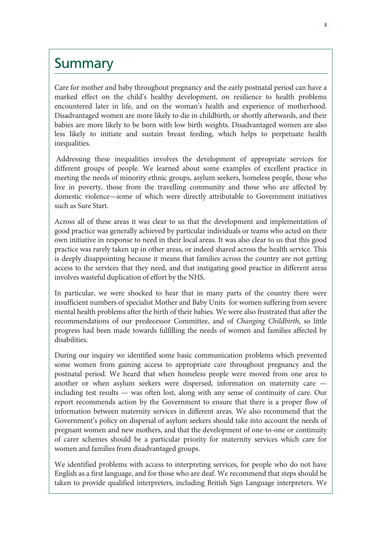### **Summary**

Care for mother and baby throughout pregnancy and the early postnatal period can have a marked effect on the child's healthy development, on resilience to health problems encountered later in life, and on the woman's health and experience of motherhood. Disadvantaged women are more likely to die in childbirth, or shortly afterwards, and their babies are more likely to be born with low birth weights. Disadvantaged women are also less likely to initiate and sustain breast feeding, which helps to perpetuate health inequalities.

 Addressing these inequalities involves the development of appropriate services for different groups of people. We learned about some examples of excellent practice in meeting the needs of minority ethnic groups, asylum seekers, homeless people, those who live in poverty, those from the travelling community and those who are affected by domestic violence—some of which were directly attributable to Government initiatives such as Sure Start.

Across all of these areas it was clear to us that the development and implementation of good practice was generally achieved by particular individuals or teams who acted on their own initiative in response to need in their local areas. It was also clear to us that this good practice was rarely taken up in other areas, or indeed shared across the health service. This is deeply disappointing because it means that families across the country are not getting access to the services that they need, and that instigating good practice in different areas involves wasteful duplication of effort by the NHS.

In particular, we were shocked to hear that in many parts of the country there were insufficient numbers of specialist Mother and Baby Units for women suffering from severe mental health problems after the birth of their babies. We were also frustrated that after the recommendations of our predecessor Committee, and of *Changing Childbirth*, so little progress had been made towards fulfilling the needs of women and families affected by disabilities.

During our inquiry we identified some basic communication problems which prevented some women from gaining access to appropriate care throughout pregnancy and the postnatal period. We heard that when homeless people were moved from one area to another or when asylum seekers were dispersed, information on maternity care including test results — was often lost, along with any sense of continuity of care. Our report recommends action by the Government to ensure that there is a proper flow of information between maternity services in different areas. We also recommend that the Government's policy on dispersal of asylum seekers should take into account the needs of pregnant women and new mothers, and that the development of one-to-one or continuity of carer schemes should be a particular priority for maternity services which care for women and families from disadvantaged groups.

We identified problems with access to interpreting services, for people who do not have English as a first language, and for those who are deaf. We recommend that steps should be taken to provide qualified interpreters, including British Sign Language interpreters. We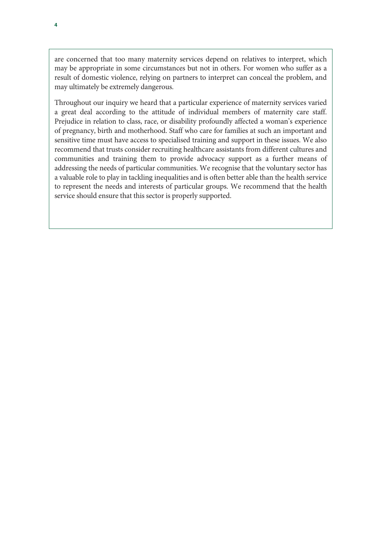are concerned that too many maternity services depend on relatives to interpret, which may be appropriate in some circumstances but not in others. For women who suffer as a result of domestic violence, relying on partners to interpret can conceal the problem, and may ultimately be extremely dangerous.

Throughout our inquiry we heard that a particular experience of maternity services varied a great deal according to the attitude of individual members of maternity care staff. Prejudice in relation to class, race, or disability profoundly affected a woman's experience of pregnancy, birth and motherhood. Staff who care for families at such an important and sensitive time must have access to specialised training and support in these issues. We also recommend that trusts consider recruiting healthcare assistants from different cultures and communities and training them to provide advocacy support as a further means of addressing the needs of particular communities. We recognise that the voluntary sector has a valuable role to play in tackling inequalities and is often better able than the health service to represent the needs and interests of particular groups. We recommend that the health service should ensure that this sector is properly supported.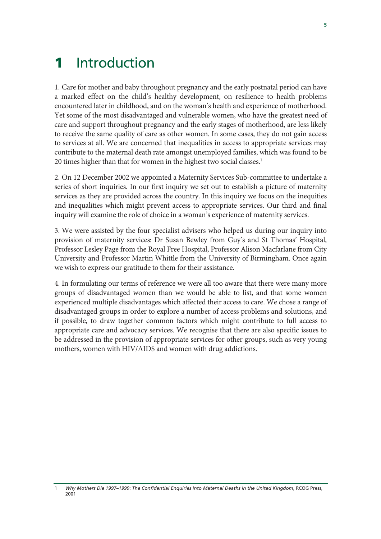# 1 Introduction

1. Care for mother and baby throughout pregnancy and the early postnatal period can have a marked effect on the child's healthy development, on resilience to health problems encountered later in childhood, and on the woman's health and experience of motherhood. Yet some of the most disadvantaged and vulnerable women, who have the greatest need of care and support throughout pregnancy and the early stages of motherhood, are less likely to receive the same quality of care as other women. In some cases, they do not gain access to services at all. We are concerned that inequalities in access to appropriate services may contribute to the maternal death rate amongst unemployed families, which was found to be 20 times higher than that for women in the highest two social classes.<sup>1</sup>

2. On 12 December 2002 we appointed a Maternity Services Sub-committee to undertake a series of short inquiries. In our first inquiry we set out to establish a picture of maternity services as they are provided across the country. In this inquiry we focus on the inequities and inequalities which might prevent access to appropriate services. Our third and final inquiry will examine the role of choice in a woman's experience of maternity services.

3. We were assisted by the four specialist advisers who helped us during our inquiry into provision of maternity services: Dr Susan Bewley from Guy's and St Thomas' Hospital, Professor Lesley Page from the Royal Free Hospital, Professor Alison Macfarlane from City University and Professor Martin Whittle from the University of Birmingham. Once again we wish to express our gratitude to them for their assistance.

4. In formulating our terms of reference we were all too aware that there were many more groups of disadvantaged women than we would be able to list, and that some women experienced multiple disadvantages which affected their access to care. We chose a range of disadvantaged groups in order to explore a number of access problems and solutions, and if possible, to draw together common factors which might contribute to full access to appropriate care and advocacy services. We recognise that there are also specific issues to be addressed in the provision of appropriate services for other groups, such as very young mothers, women with HIV/AIDS and women with drug addictions.

<sup>1</sup> *Why Mothers Die 1997–1999*: *The Confidential Enquiries into Maternal Deaths in the United Kingdom*, RCOG Press, 2001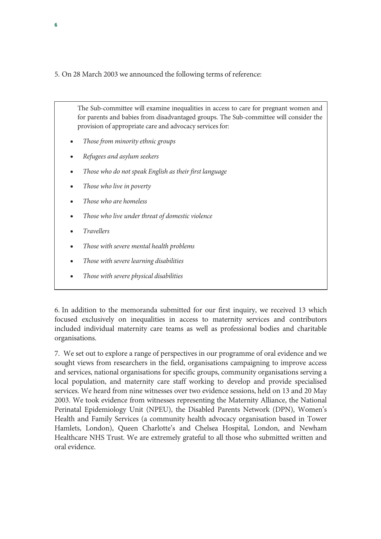5. On 28 March 2003 we announced the following terms of reference:

The Sub-committee will examine inequalities in access to care for pregnant women and for parents and babies from disadvantaged groups. The Sub-committee will consider the provision of appropriate care and advocacy services for:

- *Those from minority ethnic groups*
- *Refugees and asylum seekers*
- *Those who do not speak English as their first language*
- *Those who live in poverty*
- *Those who are homeless*
- *Those who live under threat of domestic violence*
- *Travellers*
- *Those with severe mental health problems*
- *Those with severe learning disabilities*
- *Those with severe physical disabilities*

6. In addition to the memoranda submitted for our first inquiry, we received 13 which focused exclusively on inequalities in access to maternity services and contributors included individual maternity care teams as well as professional bodies and charitable organisations.

7. We set out to explore a range of perspectives in our programme of oral evidence and we sought views from researchers in the field, organisations campaigning to improve access and services, national organisations for specific groups, community organisations serving a local population, and maternity care staff working to develop and provide specialised services. We heard from nine witnesses over two evidence sessions, held on 13 and 20 May 2003. We took evidence from witnesses representing the Maternity Alliance, the National Perinatal Epidemiology Unit (NPEU), the Disabled Parents Network (DPN), Women's Health and Family Services (a community health advocacy organisation based in Tower Hamlets, London), Queen Charlotte's and Chelsea Hospital, London, and Newham Healthcare NHS Trust. We are extremely grateful to all those who submitted written and oral evidence.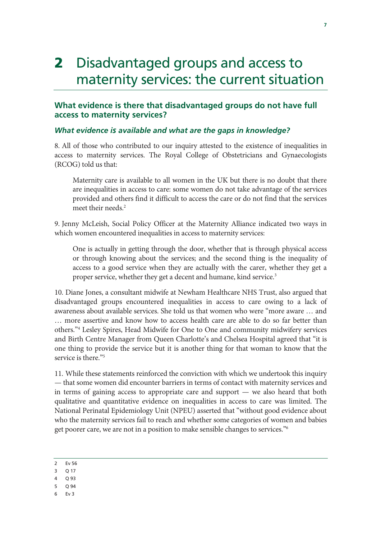## 2 Disadvantaged groups and access to maternity services: the current situation

#### **What evidence is there that disadvantaged groups do not have full access to maternity services?**

#### *What evidence is available and what are the gaps in knowledge?*

8. All of those who contributed to our inquiry attested to the existence of inequalities in access to maternity services. The Royal College of Obstetricians and Gynaecologists (RCOG) told us that:

Maternity care is available to all women in the UK but there is no doubt that there are inequalities in access to care: some women do not take advantage of the services provided and others find it difficult to access the care or do not find that the services meet their needs.<sup>2</sup>

9. Jenny McLeish, Social Policy Officer at the Maternity Alliance indicated two ways in which women encountered inequalities in access to maternity services:

One is actually in getting through the door, whether that is through physical access or through knowing about the services; and the second thing is the inequality of access to a good service when they are actually with the carer, whether they get a proper service, whether they get a decent and humane, kind service.<sup>3</sup>

10. Diane Jones, a consultant midwife at Newham Healthcare NHS Trust, also argued that disadvantaged groups encountered inequalities in access to care owing to a lack of awareness about available services. She told us that women who were "more aware … and … more assertive and know how to access health care are able to do so far better than others."4 Lesley Spires, Head Midwife for One to One and community midwifery services and Birth Centre Manager from Queen Charlotte's and Chelsea Hospital agreed that "it is one thing to provide the service but it is another thing for that woman to know that the service is there."<sup>5</sup>

11. While these statements reinforced the conviction with which we undertook this inquiry — that some women did encounter barriers in terms of contact with maternity services and in terms of gaining access to appropriate care and support — we also heard that both qualitative and quantitative evidence on inequalities in access to care was limited. The National Perinatal Epidemiology Unit (NPEU) asserted that "without good evidence about who the maternity services fail to reach and whether some categories of women and babies get poorer care, we are not in a position to make sensible changes to services."<sup>6</sup>

- 5 Q 94
- 6 Ev 3

<sup>2</sup> Ev 56

<sup>3</sup> Q 17

<sup>4</sup> Q 93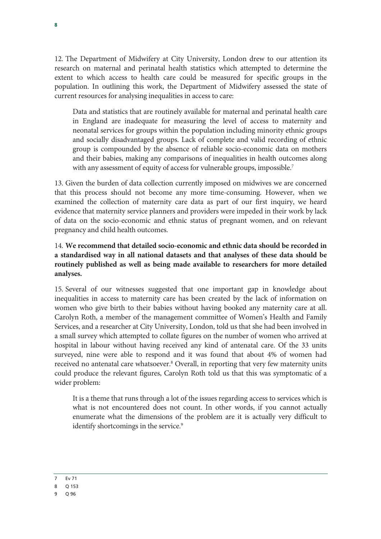12. The Department of Midwifery at City University, London drew to our attention its research on maternal and perinatal health statistics which attempted to determine the extent to which access to health care could be measured for specific groups in the population. In outlining this work, the Department of Midwifery assessed the state of current resources for analysing inequalities in access to care:

Data and statistics that are routinely available for maternal and perinatal health care in England are inadequate for measuring the level of access to maternity and neonatal services for groups within the population including minority ethnic groups and socially disadvantaged groups. Lack of complete and valid recording of ethnic group is compounded by the absence of reliable socio-economic data on mothers and their babies, making any comparisons of inequalities in health outcomes along with any assessment of equity of access for vulnerable groups, impossible.<sup>7</sup>

13. Given the burden of data collection currently imposed on midwives we are concerned that this process should not become any more time-consuming. However, when we examined the collection of maternity care data as part of our first inquiry, we heard evidence that maternity service planners and providers were impeded in their work by lack of data on the socio-economic and ethnic status of pregnant women, and on relevant pregnancy and child health outcomes.

#### 14. **We recommend that detailed socio-economic and ethnic data should be recorded in a standardised way in all national datasets and that analyses of these data should be routinely published as well as being made available to researchers for more detailed analyses.**

15. Several of our witnesses suggested that one important gap in knowledge about inequalities in access to maternity care has been created by the lack of information on women who give birth to their babies without having booked any maternity care at all. Carolyn Roth, a member of the management committee of Women's Health and Family Services, and a researcher at City University, London, told us that she had been involved in a small survey which attempted to collate figures on the number of women who arrived at hospital in labour without having received any kind of antenatal care. Of the 33 units surveyed, nine were able to respond and it was found that about 4% of women had received no antenatal care whatsoever.<sup>8</sup> Overall, in reporting that very few maternity units could produce the relevant figures, Carolyn Roth told us that this was symptomatic of a wider problem:

It is a theme that runs through a lot of the issues regarding access to services which is what is not encountered does not count. In other words, if you cannot actually enumerate what the dimensions of the problem are it is actually very difficult to identify shortcomings in the service.<sup>9</sup>

<sup>7</sup> Ev 71

<sup>8</sup> Q 153

<sup>9</sup> Q 96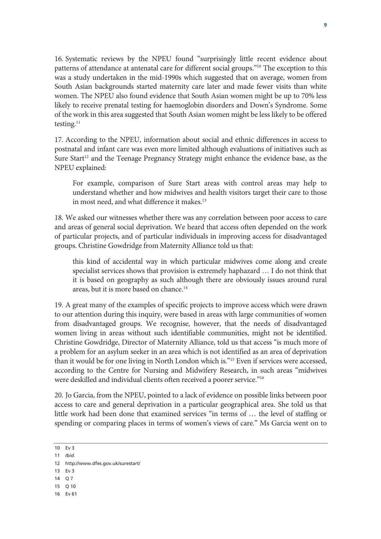16. Systematic reviews by the NPEU found "surprisingly little recent evidence about patterns of attendance at antenatal care for different social groups."<sup>10</sup> The exception to this was a study undertaken in the mid-1990s which suggested that on average, women from South Asian backgrounds started maternity care later and made fewer visits than white women. The NPEU also found evidence that South Asian women might be up to 70% less likely to receive prenatal testing for haemoglobin disorders and Down's Syndrome. Some of the work in this area suggested that South Asian women might be less likely to be offered testing.<sup>11</sup>

17. According to the NPEU, information about social and ethnic differences in access to postnatal and infant care was even more limited although evaluations of initiatives such as Sure Start<sup>12</sup> and the Teenage Pregnancy Strategy might enhance the evidence base, as the NPEU explained:

For example, comparison of Sure Start areas with control areas may help to understand whether and how midwives and health visitors target their care to those in most need, and what difference it makes.<sup>13</sup>

18. We asked our witnesses whether there was any correlation between poor access to care and areas of general social deprivation. We heard that access often depended on the work of particular projects, and of particular individuals in improving access for disadvantaged groups. Christine Gowdridge from Maternity Alliance told us that:

this kind of accidental way in which particular midwives come along and create specialist services shows that provision is extremely haphazard … I do not think that it is based on geography as such although there are obviously issues around rural areas, but it is more based on chance.<sup>14</sup>

19. A great many of the examples of specific projects to improve access which were drawn to our attention during this inquiry, were based in areas with large communities of women from disadvantaged groups. We recognise, however, that the needs of disadvantaged women living in areas without such identifiable communities, might not be identified. Christine Gowdridge, Director of Maternity Alliance, told us that access "is much more of a problem for an asylum seeker in an area which is not identified as an area of deprivation than it would be for one living in North London which is."15 Even if services were accessed, according to the Centre for Nursing and Midwifery Research, in such areas "midwives were deskilled and individual clients often received a poorer service."<sup>16</sup>

20. Jo Garcia, from the NPEU, pointed to a lack of evidence on possible links between poor access to care and general deprivation in a particular geographical area. She told us that little work had been done that examined services "in terms of … the level of staffing or spending or comparing places in terms of women's views of care." Ms Garcia went on to

10 Ev 3

- 14 O 7
- 15 Q 10

<sup>11</sup> *Ibid.*

<sup>12</sup> http://www.dfes.gov.uk/surestart/

<sup>13</sup> Ev 3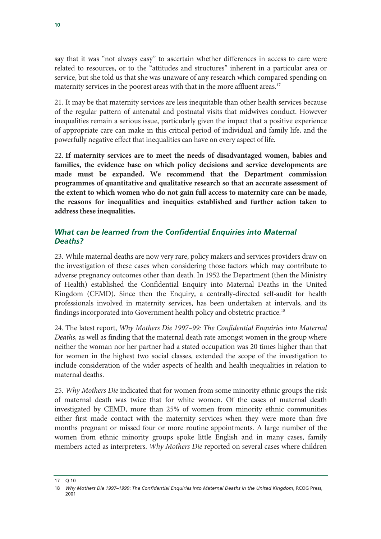say that it was "not always easy" to ascertain whether differences in access to care were related to resources, or to the "attitudes and structures" inherent in a particular area or service, but she told us that she was unaware of any research which compared spending on maternity services in the poorest areas with that in the more affluent areas.<sup>17</sup>

21. It may be that maternity services are less inequitable than other health services because of the regular pattern of antenatal and postnatal visits that midwives conduct. However inequalities remain a serious issue, particularly given the impact that a positive experience of appropriate care can make in this critical period of individual and family life, and the powerfully negative effect that inequalities can have on every aspect of life.

22. **If maternity services are to meet the needs of disadvantaged women, babies and families, the evidence base on which policy decisions and service developments are made must be expanded. We recommend that the Department commission programmes of quantitative and qualitative research so that an accurate assessment of the extent to which women who do not gain full access to maternity care can be made, the reasons for inequalities and inequities established and further action taken to address these inequalities.** 

### *What can be learned from the Confidential Enquiries into Maternal Deaths?*

23. While maternal deaths are now very rare, policy makers and services providers draw on the investigation of these cases when considering those factors which may contribute to adverse pregnancy outcomes other than death. In 1952 the Department (then the Ministry of Health) established the Confidential Enquiry into Maternal Deaths in the United Kingdom (CEMD). Since then the Enquiry, a centrally-directed self-audit for health professionals involved in maternity services, has been undertaken at intervals, and its findings incorporated into Government health policy and obstetric practice.<sup>18</sup>

24. The latest report, *Why Mothers Die 1997–99: The Confidential Enquiries into Maternal Deaths,* as well as finding that the maternal death rate amongst women in the group where neither the woman nor her partner had a stated occupation was 20 times higher than that for women in the highest two social classes, extended the scope of the investigation to include consideration of the wider aspects of health and health inequalities in relation to maternal deaths.

25. *Why Mothers Die* indicated that for women from some minority ethnic groups the risk of maternal death was twice that for white women. Of the cases of maternal death investigated by CEMD, more than 25% of women from minority ethnic communities either first made contact with the maternity services when they were more than five months pregnant or missed four or more routine appointments. A large number of the women from ethnic minority groups spoke little English and in many cases, family members acted as interpreters. *Why Mothers Die* reported on several cases where children

17 Q 10

<sup>18</sup> *Why Mothers Die 1997–1999*: *The Confidential Enquiries into Maternal Deaths in the United Kingdom*, RCOG Press, 2001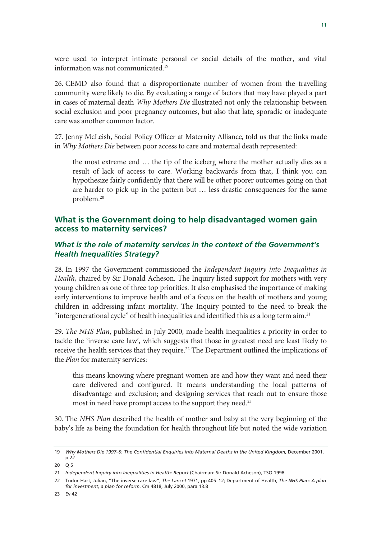were used to interpret intimate personal or social details of the mother, and vital information was not communicated.19

26. CEMD also found that a disproportionate number of women from the travelling community were likely to die. By evaluating a range of factors that may have played a part in cases of maternal death *Why Mothers Die* illustrated not only the relationship between social exclusion and poor pregnancy outcomes, but also that late, sporadic or inadequate care was another common factor.

27. Jenny McLeish, Social Policy Officer at Maternity Alliance, told us that the links made in *Why Mothers Die* between poor access to care and maternal death represented:

the most extreme end … the tip of the iceberg where the mother actually dies as a result of lack of access to care. Working backwards from that, I think you can hypothesize fairly confidently that there will be other poorer outcomes going on that are harder to pick up in the pattern but … less drastic consequences for the same problem.20

#### **What is the Government doing to help disadvantaged women gain access to maternity services?**

#### *What is the role of maternity services in the context of the Government's Health Inequalities Strategy?*

28. In 1997 the Government commissioned the *Independent Inquiry into Inequalities in Health*, chaired by Sir Donald Acheson. The Inquiry listed support for mothers with very young children as one of three top priorities. It also emphasised the importance of making early interventions to improve health and of a focus on the health of mothers and young children in addressing infant mortality. The Inquiry pointed to the need to break the "intergenerational cycle" of health inequalities and identified this as a long term aim.<sup>21</sup>

29. *The NHS Plan*, published in July 2000, made health inequalities a priority in order to tackle the 'inverse care law', which suggests that those in greatest need are least likely to receive the health services that they require.<sup>22</sup> The Department outlined the implications of the *Plan* for maternity services:

this means knowing where pregnant women are and how they want and need their care delivered and configured. It means understanding the local patterns of disadvantage and exclusion; and designing services that reach out to ensure those most in need have prompt access to the support they need.<sup>23</sup>

30. The *NHS Plan* described the health of mother and baby at the very beginning of the baby's life as being the foundation for health throughout life but noted the wide variation

<sup>19</sup> *Why Mothers Die 1997–9*, *The Confidential Enquiries into Maternal Deaths in the United Kingdom*, December 2001, p 22

<sup>20</sup> O 5

<sup>21</sup> *Independent Inquiry into Inequalities in Health: Report* (Chairman: Sir Donald Acheson), TSO 1998

<sup>22</sup> Tudor-Hart, Julian, "The inverse care law", *The Lancet* 1971, pp 405–12; Department of Health, *The NHS Plan: A plan for investment, a plan for reform*. Cm 4818, July 2000, para 13.8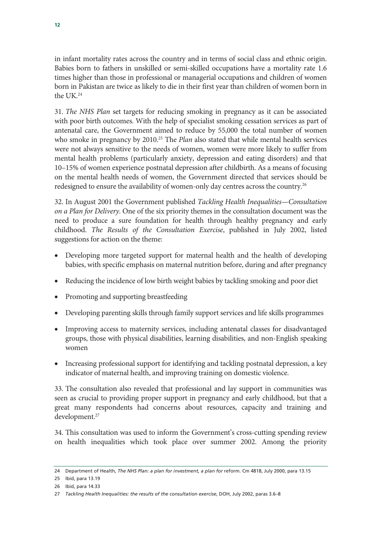in infant mortality rates across the country and in terms of social class and ethnic origin. Babies born to fathers in unskilled or semi-skilled occupations have a mortality rate 1.6 times higher than those in professional or managerial occupations and children of women born in Pakistan are twice as likely to die in their first year than children of women born in the UK.24

31. *The NHS Plan* set targets for reducing smoking in pregnancy as it can be associated with poor birth outcomes. With the help of specialist smoking cessation services as part of antenatal care, the Government aimed to reduce by 55,000 the total number of women who smoke in pregnancy by 2010.<sup>25</sup> The *Plan* also stated that while mental health services were not always sensitive to the needs of women, women were more likely to suffer from mental health problems (particularly anxiety, depression and eating disorders) and that 10–15% of women experience postnatal depression after childbirth. As a means of focusing on the mental health needs of women, the Government directed that services should be redesigned to ensure the availability of women-only day centres across the country.<sup>26</sup>

32. In August 2001 the Government published *Tackling Health Inequalities—Consultation on a Plan for Delivery*. One of the six priority themes in the consultation document was the need to produce a sure foundation for health through healthy pregnancy and early childhood. *The Results of the Consultation Exercise*, published in July 2002, listed suggestions for action on the theme:

- Developing more targeted support for maternal health and the health of developing babies, with specific emphasis on maternal nutrition before, during and after pregnancy
- Reducing the incidence of low birth weight babies by tackling smoking and poor diet
- Promoting and supporting breastfeeding
- Developing parenting skills through family support services and life skills programmes
- Improving access to maternity services, including antenatal classes for disadvantaged groups, those with physical disabilities, learning disabilities, and non-English speaking women
- Increasing professional support for identifying and tackling postnatal depression, a key indicator of maternal health, and improving training on domestic violence.

33. The consultation also revealed that professional and lay support in communities was seen as crucial to providing proper support in pregnancy and early childhood, but that a great many respondents had concerns about resources, capacity and training and development.<sup>27</sup>

34. This consultation was used to inform the Government's cross-cutting spending review on health inequalities which took place over summer 2002. Among the priority

<sup>24</sup> Department of Health, *The NHS Plan: a plan for investment, a plan for* reform. Cm 4818, July 2000, para 13.15

<sup>25</sup> Ibid, para 13.19

<sup>26</sup> Ibid, para 14.33

<sup>27</sup> *Tackling Health Inequalities: the results of the consultation exercise*, DOH, July 2002, paras 3.6–8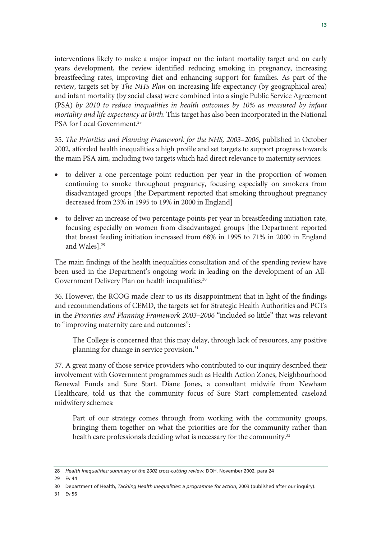interventions likely to make a major impact on the infant mortality target and on early years development, the review identified reducing smoking in pregnancy, increasing breastfeeding rates, improving diet and enhancing support for families. As part of the review, targets set by *The NHS Plan* on increasing life expectancy (by geographical area) and infant mortality (by social class) were combined into a single Public Service Agreement (PSA) *by 2010 to reduce inequalities in health outcomes by 10% as measured by infant mortality and life expectancy at birth*. This target has also been incorporated in the National PSA for Local Government.<sup>28</sup>

35. *The Priorities and Planning Framework for the NHS, 2003–2006*, published in October 2002, afforded health inequalities a high profile and set targets to support progress towards the main PSA aim, including two targets which had direct relevance to maternity services:

- to deliver a one percentage point reduction per year in the proportion of women continuing to smoke throughout pregnancy, focusing especially on smokers from disadvantaged groups [the Department reported that smoking throughout pregnancy decreased from 23% in 1995 to 19% in 2000 in England]
- to deliver an increase of two percentage points per year in breastfeeding initiation rate, focusing especially on women from disadvantaged groups [the Department reported that breast feeding initiation increased from 68% in 1995 to 71% in 2000 in England and Wales].29

The main findings of the health inequalities consultation and of the spending review have been used in the Department's ongoing work in leading on the development of an All-Government Delivery Plan on health inequalities.<sup>30</sup>

36. However, the RCOG made clear to us its disappointment that in light of the findings and recommendations of CEMD, the targets set for Strategic Health Authorities and PCTs in the *Priorities and Planning Framework 2003–2006* "included so little" that was relevant to "improving maternity care and outcomes":

The College is concerned that this may delay, through lack of resources, any positive planning for change in service provision.<sup>31</sup>

37. A great many of those service providers who contributed to our inquiry described their involvement with Government programmes such as Health Action Zones, Neighbourhood Renewal Funds and Sure Start. Diane Jones, a consultant midwife from Newham Healthcare, told us that the community focus of Sure Start complemented caseload midwifery schemes:

Part of our strategy comes through from working with the community groups, bringing them together on what the priorities are for the community rather than health care professionals deciding what is necessary for the community.<sup>32</sup>

31 Ev 56

<sup>28</sup> *Health Inequalities: summary of the 2002 cross-cutting review*, DOH, November 2002, para 24

<sup>29</sup> Ev 44

<sup>30</sup> Department of Health, *Tackling Health Inequalities: a programme for action*, 2003 (published after our inquiry).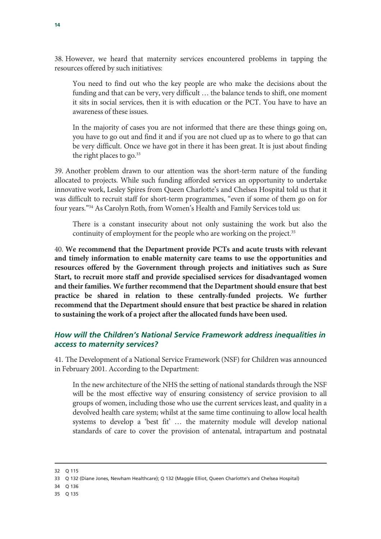38. However, we heard that maternity services encountered problems in tapping the resources offered by such initiatives:

You need to find out who the key people are who make the decisions about the funding and that can be very, very difficult … the balance tends to shift, one moment it sits in social services, then it is with education or the PCT. You have to have an awareness of these issues.

In the majority of cases you are not informed that there are these things going on, you have to go out and find it and if you are not clued up as to where to go that can be very difficult. Once we have got in there it has been great. It is just about finding the right places to go. $33$ 

39. Another problem drawn to our attention was the short-term nature of the funding allocated to projects. While such funding afforded services an opportunity to undertake innovative work, Lesley Spires from Queen Charlotte's and Chelsea Hospital told us that it was difficult to recruit staff for short-term programmes, "even if some of them go on for four years."34 As Carolyn Roth, from Women's Health and Family Services told us:

There is a constant insecurity about not only sustaining the work but also the continuity of employment for the people who are working on the project.<sup>35</sup>

40. **We recommend that the Department provide PCTs and acute trusts with relevant and timely information to enable maternity care teams to use the opportunities and resources offered by the Government through projects and initiatives such as Sure Start, to recruit more staff and provide specialised services for disadvantaged women and their families. We further recommend that the Department should ensure that best practice be shared in relation to these centrally-funded projects. We further recommend that the Department should ensure that best practice be shared in relation to sustaining the work of a project after the allocated funds have been used.**

### *How will the Children's National Service Framework address inequalities in access to maternity services?*

41. The Development of a National Service Framework (NSF) for Children was announced in February 2001. According to the Department:

In the new architecture of the NHS the setting of national standards through the NSF will be the most effective way of ensuring consistency of service provision to all groups of women, including those who use the current services least, and quality in a devolved health care system; whilst at the same time continuing to allow local health systems to develop a 'best fit' … the maternity module will develop national standards of care to cover the provision of antenatal, intrapartum and postnatal

-

- 34 Q 136
- 35 Q 135

<sup>32</sup> Q 115

<sup>33</sup> Q 132 (Diane Jones, Newham Healthcare); Q 132 (Maggie Elliot, Queen Charlotte's and Chelsea Hospital)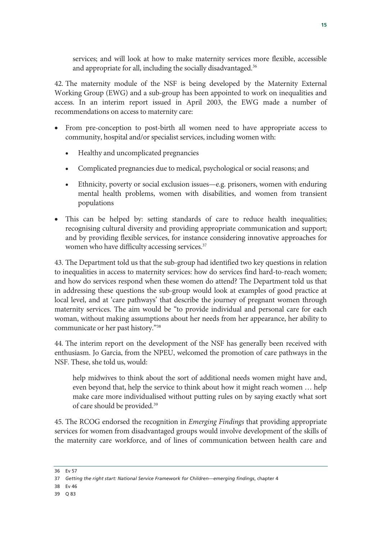services; and will look at how to make maternity services more flexible, accessible and appropriate for all, including the socially disadvantaged.<sup>36</sup>

42. The maternity module of the NSF is being developed by the Maternity External Working Group (EWG) and a sub-group has been appointed to work on inequalities and access. In an interim report issued in April 2003, the EWG made a number of recommendations on access to maternity care:

- From pre-conception to post-birth all women need to have appropriate access to community, hospital and/or specialist services, including women with:
	- Healthy and uncomplicated pregnancies
	- Complicated pregnancies due to medical, psychological or social reasons; and
	- Ethnicity, poverty or social exclusion issues—e.g. prisoners, women with enduring mental health problems, women with disabilities, and women from transient populations
- This can be helped by: setting standards of care to reduce health inequalities; recognising cultural diversity and providing appropriate communication and support; and by providing flexible services, for instance considering innovative approaches for women who have difficulty accessing services.<sup>37</sup>

43. The Department told us that the sub-group had identified two key questions in relation to inequalities in access to maternity services: how do services find hard-to-reach women; and how do services respond when these women do attend? The Department told us that in addressing these questions the sub-group would look at examples of good practice at local level, and at 'care pathways' that describe the journey of pregnant women through maternity services. The aim would be "to provide individual and personal care for each woman, without making assumptions about her needs from her appearance, her ability to communicate or her past history."38

44. The interim report on the development of the NSF has generally been received with enthusiasm. Jo Garcia, from the NPEU, welcomed the promotion of care pathways in the NSF. These, she told us, would:

help midwives to think about the sort of additional needs women might have and, even beyond that, help the service to think about how it might reach women … help make care more individualised without putting rules on by saying exactly what sort of care should be provided.39

45. The RCOG endorsed the recognition in *Emerging Findings* that providing appropriate services for women from disadvantaged groups would involve development of the skills of the maternity care workforce, and of lines of communication between health care and

- 38 Ev 46
- 39 Q 83

<sup>36</sup> Ev 57

<sup>37</sup> *Getting the right start: National Service Framework for Children—emerging findings*, chapter 4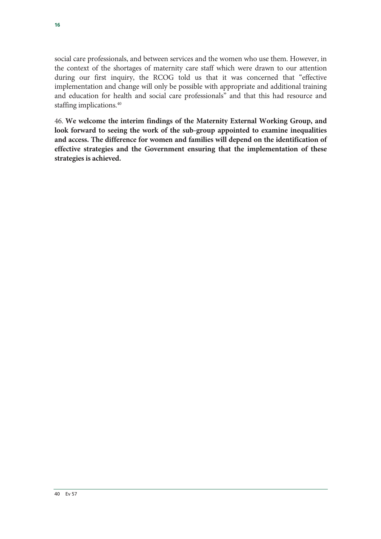social care professionals, and between services and the women who use them. However, in the context of the shortages of maternity care staff which were drawn to our attention during our first inquiry, the RCOG told us that it was concerned that "effective implementation and change will only be possible with appropriate and additional training and education for health and social care professionals" and that this had resource and staffing implications.<sup>40</sup>

46. **We welcome the interim findings of the Maternity External Working Group, and look forward to seeing the work of the sub-group appointed to examine inequalities and access. The difference for women and families will depend on the identification of effective strategies and the Government ensuring that the implementation of these strategies is achieved.**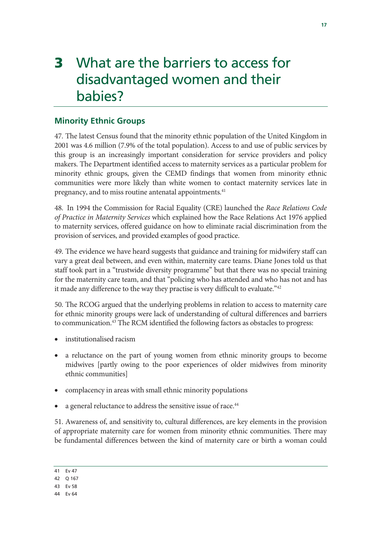### 3 What are the barriers to access for disadvantaged women and their babies?

### **Minority Ethnic Groups**

47. The latest Census found that the minority ethnic population of the United Kingdom in 2001 was 4.6 million (7.9% of the total population). Access to and use of public services by this group is an increasingly important consideration for service providers and policy makers. The Department identified access to maternity services as a particular problem for minority ethnic groups, given the CEMD findings that women from minority ethnic communities were more likely than white women to contact maternity services late in pregnancy, and to miss routine antenatal appointments.<sup>41</sup>

48. In 1994 the Commission for Racial Equality (CRE) launched the *Race Relations Code of Practice in Maternity Services* which explained how the Race Relations Act 1976 applied to maternity services, offered guidance on how to eliminate racial discrimination from the provision of services, and provided examples of good practice.

49. The evidence we have heard suggests that guidance and training for midwifery staff can vary a great deal between, and even within, maternity care teams. Diane Jones told us that staff took part in a "trustwide diversity programme" but that there was no special training for the maternity care team, and that "policing who has attended and who has not and has it made any difference to the way they practise is very difficult to evaluate."<sup>42</sup>

50. The RCOG argued that the underlying problems in relation to access to maternity care for ethnic minority groups were lack of understanding of cultural differences and barriers to communication.<sup>43</sup> The RCM identified the following factors as obstacles to progress:

- institutionalised racism
- a reluctance on the part of young women from ethnic minority groups to become midwives [partly owing to the poor experiences of older midwives from minority ethnic communities]
- complacency in areas with small ethnic minority populations
- a general reluctance to address the sensitive issue of race.<sup>44</sup>

51. Awareness of, and sensitivity to, cultural differences, are key elements in the provision of appropriate maternity care for women from minority ethnic communities. There may be fundamental differences between the kind of maternity care or birth a woman could

<sup>41</sup> Ev 47

<sup>42</sup> Q 167

<sup>43</sup> Ev 58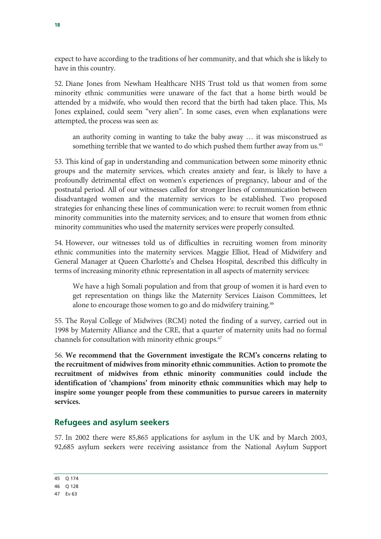expect to have according to the traditions of her community, and that which she is likely to have in this country.

52. Diane Jones from Newham Healthcare NHS Trust told us that women from some minority ethnic communities were unaware of the fact that a home birth would be attended by a midwife, who would then record that the birth had taken place. This, Ms Jones explained, could seem "very alien". In some cases, even when explanations were attempted, the process was seen as:

an authority coming in wanting to take the baby away … it was misconstrued as something terrible that we wanted to do which pushed them further away from us.<sup>45</sup>

53. This kind of gap in understanding and communication between some minority ethnic groups and the maternity services, which creates anxiety and fear, is likely to have a profoundly detrimental effect on women's experiences of pregnancy, labour and of the postnatal period. All of our witnesses called for stronger lines of communication between disadvantaged women and the maternity services to be established. Two proposed strategies for enhancing these lines of communication were: to recruit women from ethnic minority communities into the maternity services; and to ensure that women from ethnic minority communities who used the maternity services were properly consulted.

54. However, our witnesses told us of difficulties in recruiting women from minority ethnic communities into the maternity services. Maggie Elliot, Head of Midwifery and General Manager at Queen Charlotte's and Chelsea Hospital, described this difficulty in terms of increasing minority ethnic representation in all aspects of maternity services:

We have a high Somali population and from that group of women it is hard even to get representation on things like the Maternity Services Liaison Committees, let alone to encourage those women to go and do midwifery training.46

55. The Royal College of Midwives (RCM) noted the finding of a survey, carried out in 1998 by Maternity Alliance and the CRE, that a quarter of maternity units had no formal channels for consultation with minority ethnic groups.47

56. **We recommend that the Government investigate the RCM's concerns relating to the recruitment of midwives from minority ethnic communities. Action to promote the recruitment of midwives from ethnic minority communities could include the identification of 'champions' from minority ethnic communities which may help to inspire some younger people from these communities to pursue careers in maternity services.**

### **Refugees and asylum seekers**

57. In 2002 there were 85,865 applications for asylum in the UK and by March 2003, 92,685 asylum seekers were receiving assistance from the National Asylum Support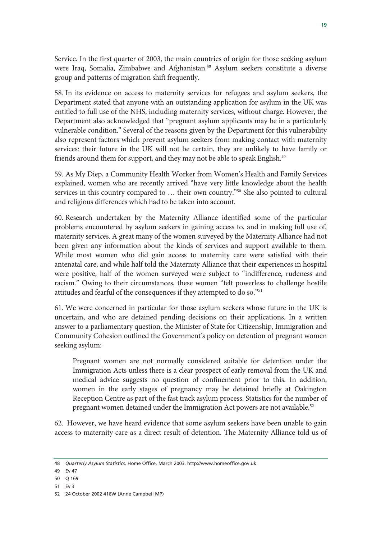Service. In the first quarter of 2003, the main countries of origin for those seeking asylum were Iraq, Somalia, Zimbabwe and Afghanistan.<sup>48</sup> Asylum seekers constitute a diverse group and patterns of migration shift frequently.

58. In its evidence on access to maternity services for refugees and asylum seekers, the Department stated that anyone with an outstanding application for asylum in the UK was entitled to full use of the NHS, including maternity services, without charge. However, the Department also acknowledged that "pregnant asylum applicants may be in a particularly vulnerable condition." Several of the reasons given by the Department for this vulnerability also represent factors which prevent asylum seekers from making contact with maternity services: their future in the UK will not be certain, they are unlikely to have family or friends around them for support, and they may not be able to speak English.<sup>49</sup>

59. As My Diep, a Community Health Worker from Women's Health and Family Services explained, women who are recently arrived "have very little knowledge about the health services in this country compared to ... their own country.<sup>"50</sup> She also pointed to cultural and religious differences which had to be taken into account.

60. Research undertaken by the Maternity Alliance identified some of the particular problems encountered by asylum seekers in gaining access to, and in making full use of, maternity services. A great many of the women surveyed by the Maternity Alliance had not been given any information about the kinds of services and support available to them. While most women who did gain access to maternity care were satisfied with their antenatal care, and while half told the Maternity Alliance that their experiences in hospital were positive, half of the women surveyed were subject to "indifference, rudeness and racism." Owing to their circumstances, these women "felt powerless to challenge hostile attitudes and fearful of the consequences if they attempted to do so."51

61. We were concerned in particular for those asylum seekers whose future in the UK is uncertain, and who are detained pending decisions on their applications. In a written answer to a parliamentary question, the Minister of State for Citizenship, Immigration and Community Cohesion outlined the Government's policy on detention of pregnant women seeking asylum:

Pregnant women are not normally considered suitable for detention under the Immigration Acts unless there is a clear prospect of early removal from the UK and medical advice suggests no question of confinement prior to this. In addition, women in the early stages of pregnancy may be detained briefly at Oakington Reception Centre as part of the fast track asylum process. Statistics for the number of pregnant women detained under the Immigration Act powers are not available.<sup>52</sup>

62. However, we have heard evidence that some asylum seekers have been unable to gain access to maternity care as a direct result of detention. The Maternity Alliance told us of

51 Ev 3

<sup>48</sup> *Quarterly Asylum Statistics,* Home Office, March 2003. http://www.homeoffice.gov.uk

<sup>49</sup> Ev 47

<sup>50</sup> Q 169

<sup>52 24</sup> October 2002 416W (Anne Campbell MP)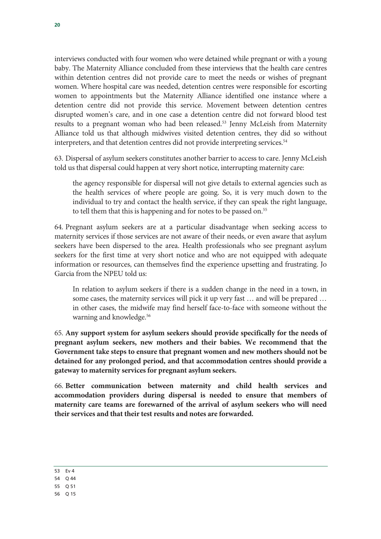interviews conducted with four women who were detained while pregnant or with a young baby. The Maternity Alliance concluded from these interviews that the health care centres within detention centres did not provide care to meet the needs or wishes of pregnant women. Where hospital care was needed, detention centres were responsible for escorting women to appointments but the Maternity Alliance identified one instance where a detention centre did not provide this service. Movement between detention centres disrupted women's care, and in one case a detention centre did not forward blood test results to a pregnant woman who had been released.<sup>53</sup> Jenny McLeish from Maternity Alliance told us that although midwives visited detention centres, they did so without interpreters, and that detention centres did not provide interpreting services.<sup>54</sup>

63. Dispersal of asylum seekers constitutes another barrier to access to care. Jenny McLeish told us that dispersal could happen at very short notice, interrupting maternity care:

the agency responsible for dispersal will not give details to external agencies such as the health services of where people are going. So, it is very much down to the individual to try and contact the health service, if they can speak the right language, to tell them that this is happening and for notes to be passed on.<sup>55</sup>

64. Pregnant asylum seekers are at a particular disadvantage when seeking access to maternity services if those services are not aware of their needs, or even aware that asylum seekers have been dispersed to the area. Health professionals who see pregnant asylum seekers for the first time at very short notice and who are not equipped with adequate information or resources, can themselves find the experience upsetting and frustrating. Jo Garcia from the NPEU told us:

In relation to asylum seekers if there is a sudden change in the need in a town, in some cases, the maternity services will pick it up very fast … and will be prepared … in other cases, the midwife may find herself face-to-face with someone without the warning and knowledge.<sup>56</sup>

65. **Any support system for asylum seekers should provide specifically for the needs of pregnant asylum seekers, new mothers and their babies. We recommend that the Government take steps to ensure that pregnant women and new mothers should not be detained for any prolonged period, and that accommodation centres should provide a gateway to maternity services for pregnant asylum seekers.**

66. **Better communication between maternity and child health services and accommodation providers during dispersal is needed to ensure that members of maternity care teams are forewarned of the arrival of asylum seekers who will need their services and that their test results and notes are forwarded.**

<sup>53</sup> Ev 4

<sup>54</sup> Q 44

<sup>55</sup> Q 51

<sup>56</sup> Q 15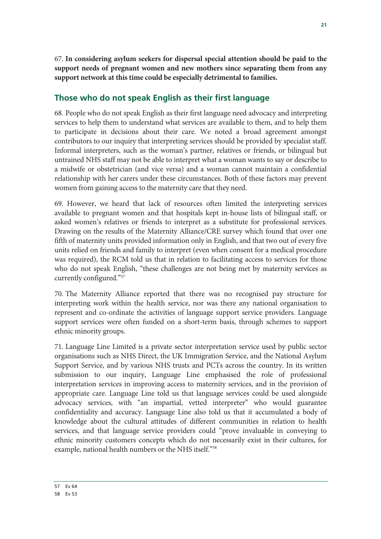67. **In considering asylum seekers for dispersal special attention should be paid to the support needs of pregnant women and new mothers since separating them from any support network at this time could be especially detrimental to families.**

#### **Those who do not speak English as their first language**

68. People who do not speak English as their first language need advocacy and interpreting services to help them to understand what services are available to them, and to help them to participate in decisions about their care. We noted a broad agreement amongst contributors to our inquiry that interpreting services should be provided by specialist staff. Informal interpreters, such as the woman's partner, relatives or friends, or bilingual but untrained NHS staff may not be able to interpret what a woman wants to say or describe to a midwife or obstetrician (and vice versa) and a woman cannot maintain a confidential relationship with her carers under these circumstances. Both of these factors may prevent women from gaining access to the maternity care that they need.

69. However, we heard that lack of resources often limited the interpreting services available to pregnant women and that hospitals kept in-house lists of bilingual staff, or asked women's relatives or friends to interpret as a substitute for professional services. Drawing on the results of the Maternity Alliance/CRE survey which found that over one fifth of maternity units provided information only in English, and that two out of every five units relied on friends and family to interpret (even when consent for a medical procedure was required), the RCM told us that in relation to facilitating access to services for those who do not speak English, "these challenges are not being met by maternity services as currently configured."57

70. The Maternity Alliance reported that there was no recognised pay structure for interpreting work within the health service, nor was there any national organisation to represent and co-ordinate the activities of language support service providers. Language support services were often funded on a short-term basis, through schemes to support ethnic minority groups.

71. Language Line Limited is a private sector interpretation service used by public sector organisations such as NHS Direct, the UK Immigration Service, and the National Asylum Support Service, and by various NHS trusts and PCTs across the country. In its written submission to our inquiry, Language Line emphasised the role of professional interpretation services in improving access to maternity services, and in the provision of appropriate care. Language Line told us that language services could be used alongside advocacy services, with "an impartial, vetted interpreter" who would guarantee confidentiality and accuracy. Language Line also told us that it accumulated a body of knowledge about the cultural attitudes of different communities in relation to health services, and that language service providers could "prove invaluable in conveying to ethnic minority customers concepts which do not necessarily exist in their cultures, for example, national health numbers or the NHS itself."58

<sup>57</sup> Ev 64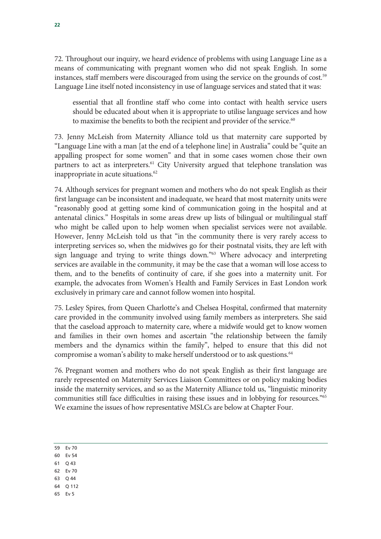72. Throughout our inquiry, we heard evidence of problems with using Language Line as a means of communicating with pregnant women who did not speak English. In some instances, staff members were discouraged from using the service on the grounds of cost.<sup>59</sup> Language Line itself noted inconsistency in use of language services and stated that it was:

essential that all frontline staff who come into contact with health service users should be educated about when it is appropriate to utilise language services and how to maximise the benefits to both the recipient and provider of the service.<sup>60</sup>

73. Jenny McLeish from Maternity Alliance told us that maternity care supported by "Language Line with a man [at the end of a telephone line] in Australia" could be "quite an appalling prospect for some women" and that in some cases women chose their own partners to act as interpreters.<sup>61</sup> City University argued that telephone translation was inappropriate in acute situations.<sup>62</sup>

74. Although services for pregnant women and mothers who do not speak English as their first language can be inconsistent and inadequate, we heard that most maternity units were "reasonably good at getting some kind of communication going in the hospital and at antenatal clinics." Hospitals in some areas drew up lists of bilingual or multilingual staff who might be called upon to help women when specialist services were not available. However, Jenny McLeish told us that "in the community there is very rarely access to interpreting services so, when the midwives go for their postnatal visits, they are left with sign language and trying to write things down."63 Where advocacy and interpreting services are available in the community, it may be the case that a woman will lose access to them, and to the benefits of continuity of care, if she goes into a maternity unit. For example, the advocates from Women's Health and Family Services in East London work exclusively in primary care and cannot follow women into hospital.

75. Lesley Spires, from Queen Charlotte's and Chelsea Hospital, confirmed that maternity care provided in the community involved using family members as interpreters. She said that the caseload approach to maternity care, where a midwife would get to know women and families in their own homes and ascertain "the relationship between the family members and the dynamics within the family", helped to ensure that this did not compromise a woman's ability to make herself understood or to ask questions.<sup>64</sup>

76. Pregnant women and mothers who do not speak English as their first language are rarely represented on Maternity Services Liaison Committees or on policy making bodies inside the maternity services, and so as the Maternity Alliance told us, "linguistic minority communities still face difficulties in raising these issues and in lobbying for resources."65 We examine the issues of how representative MSLCs are below at Chapter Four.

- 60 Ev 54
- 61 Q 43
- 62 Ev 70
- 63 Q 44
- 64 Q 112
- 65 Ev 5

<sup>59</sup> Ev 70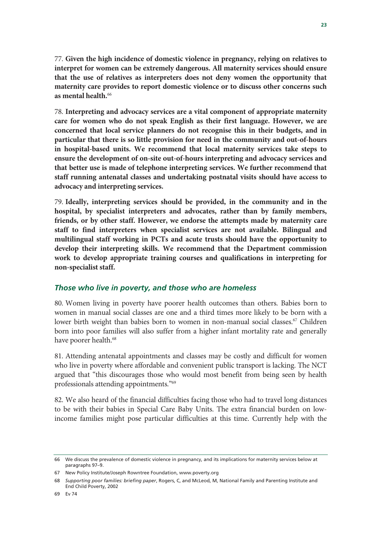77. **Given the high incidence of domestic violence in pregnancy, relying on relatives to interpret for women can be extremely dangerous. All maternity services should ensure that the use of relatives as interpreters does not deny women the opportunity that maternity care provides to report domestic violence or to discuss other concerns such as mental health.**<sup>66</sup>

78. **Interpreting and advocacy services are a vital component of appropriate maternity care for women who do not speak English as their first language. However, we are concerned that local service planners do not recognise this in their budgets, and in particular that there is so little provision for need in the community and out-of-hours in hospital-based units. We recommend that local maternity services take steps to ensure the development of on-site out-of-hours interpreting and advocacy services and that better use is made of telephone interpreting services. We further recommend that staff running antenatal classes and undertaking postnatal visits should have access to advocacy and interpreting services.** 

79. **Ideally, interpreting services should be provided, in the community and in the hospital, by specialist interpreters and advocates, rather than by family members, friends, or by other staff. However, we endorse the attempts made by maternity care staff to find interpreters when specialist services are not available. Bilingual and multilingual staff working in PCTs and acute trusts should have the opportunity to develop their interpreting skills. We recommend that the Department commission work to develop appropriate training courses and qualifications in interpreting for non-specialist staff.**

#### *Those who live in poverty, and those who are homeless*

80. Women living in poverty have poorer health outcomes than others. Babies born to women in manual social classes are one and a third times more likely to be born with a lower birth weight than babies born to women in non-manual social classes.<sup>67</sup> Children born into poor families will also suffer from a higher infant mortality rate and generally have poorer health.<sup>68</sup>

81. Attending antenatal appointments and classes may be costly and difficult for women who live in poverty where affordable and convenient public transport is lacking. The NCT argued that "this discourages those who would most benefit from being seen by health professionals attending appointments."69

82. We also heard of the financial difficulties facing those who had to travel long distances to be with their babies in Special Care Baby Units. The extra financial burden on lowincome families might pose particular difficulties at this time. Currently help with the

<sup>66</sup> We discuss the prevalence of domestic violence in pregnancy, and its implications for maternity services below at paragraphs 97–9.

<sup>67</sup> New Policy Institute/Joseph Rowntree Foundation, www.poverty.org

<sup>68</sup> *Supporting poor families: briefing paper*, Rogers, C, and McLeod, M, National Family and Parenting Institute and End Child Poverty, 2002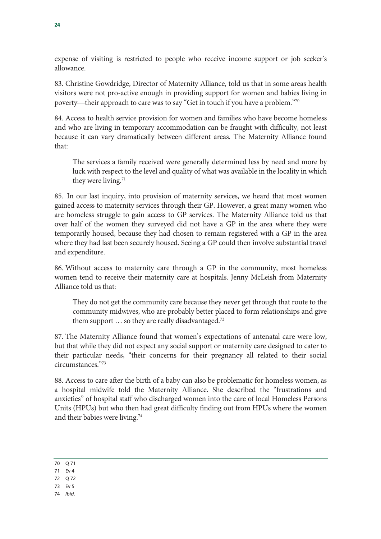expense of visiting is restricted to people who receive income support or job seeker's allowance.

83. Christine Gowdridge, Director of Maternity Alliance, told us that in some areas health visitors were not pro-active enough in providing support for women and babies living in poverty—their approach to care was to say "Get in touch if you have a problem."70

84. Access to health service provision for women and families who have become homeless and who are living in temporary accommodation can be fraught with difficulty, not least because it can vary dramatically between different areas. The Maternity Alliance found that:

The services a family received were generally determined less by need and more by luck with respect to the level and quality of what was available in the locality in which they were living.<sup>71</sup>

85. In our last inquiry, into provision of maternity services, we heard that most women gained access to maternity services through their GP. However, a great many women who are homeless struggle to gain access to GP services. The Maternity Alliance told us that over half of the women they surveyed did not have a GP in the area where they were temporarily housed, because they had chosen to remain registered with a GP in the area where they had last been securely housed. Seeing a GP could then involve substantial travel and expenditure.

86. Without access to maternity care through a GP in the community, most homeless women tend to receive their maternity care at hospitals. Jenny McLeish from Maternity Alliance told us that:

They do not get the community care because they never get through that route to the community midwives, who are probably better placed to form relationships and give them support  $\ldots$  so they are really disadvantaged.<sup>72</sup>

87. The Maternity Alliance found that women's expectations of antenatal care were low, but that while they did not expect any social support or maternity care designed to cater to their particular needs, "their concerns for their pregnancy all related to their social circumstances."73

88. Access to care after the birth of a baby can also be problematic for homeless women, as a hospital midwife told the Maternity Alliance. She described the "frustrations and anxieties" of hospital staff who discharged women into the care of local Homeless Persons Units (HPUs) but who then had great difficulty finding out from HPUs where the women and their babies were living.74

- 73 Ev 5
- 74 *Ibid.*

<sup>70</sup> Q 71

<sup>71</sup> Ev 4

<sup>72</sup> Q 72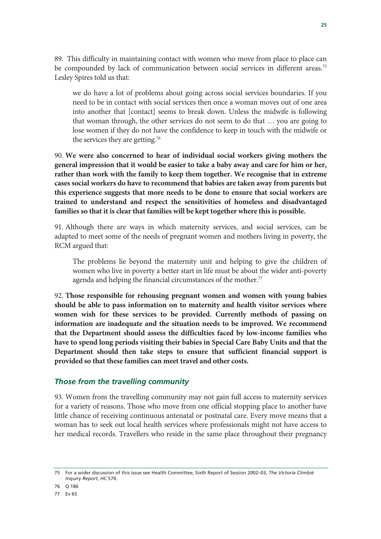89. This difficulty in maintaining contact with women who move from place to place can be compounded by lack of communication between social services in different areas.<sup>75</sup> Lesley Spires told us that:

we do have a lot of problems about going across social services boundaries. If you need to be in contact with social services then once a woman moves out of one area into another that [contact] seems to break down. Unless the midwife is following that woman through, the other services do not seem to do that … you are going to lose women if they do not have the confidence to keep in touch with the midwife or the services they are getting.76

90. **We were also concerned to hear of individual social workers giving mothers the general impression that it would be easier to take a baby away and care for him or her, rather than work with the family to keep them together. We recognise that in extreme cases social workers do have to recommend that babies are taken away from parents but this experience suggests that more needs to be done to ensure that social workers are trained to understand and respect the sensitivities of homeless and disadvantaged families so that it is clear that families will be kept together where this is possible.**

91. Although there are ways in which maternity services, and social services, can be adapted to meet some of the needs of pregnant women and mothers living in poverty, the RCM argued that:

The problems lie beyond the maternity unit and helping to give the children of women who live in poverty a better start in life must be about the wider anti-poverty agenda and helping the financial circumstances of the mother.<sup>77</sup>

92. **Those responsible for rehousing pregnant women and women with young babies should be able to pass information on to maternity and health visitor services where women wish for these services to be provided. Currently methods of passing on information are inadequate and the situation needs to be improved. We recommend that the Department should assess the difficulties faced by low-income families who have to spend long periods visiting their babies in Special Care Baby Units and that the Department should then take steps to ensure that sufficient financial support is provided so that these families can meet travel and other costs.**

#### *Those from the travelling community*

93. Women from the travelling community may not gain full access to maternity services for a variety of reasons. Those who move from one official stopping place to another have little chance of receiving continuous antenatal or postnatal care. Every move means that a woman has to seek out local health services where professionals might not have access to her medical records. Travellers who reside in the same place throughout their pregnancy

76 Q 186

77 Ev 65

<sup>75</sup> For a wider discussion of this issue see Health Committee, Sixth Report of Session 2002–03, *The Victoria Climbié Inquiry Report*, HC 570.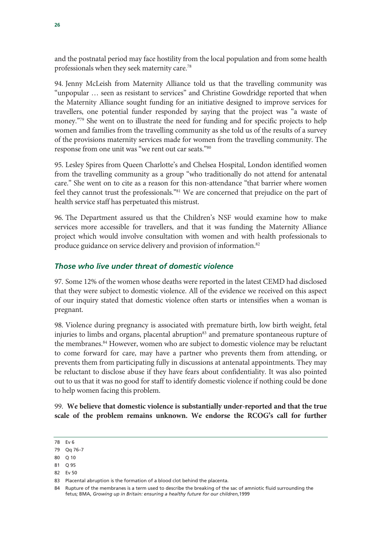and the postnatal period may face hostility from the local population and from some health professionals when they seek maternity care.78

94. Jenny McLeish from Maternity Alliance told us that the travelling community was "unpopular … seen as resistant to services" and Christine Gowdridge reported that when the Maternity Alliance sought funding for an initiative designed to improve services for travellers, one potential funder responded by saying that the project was "a waste of money."<sup>79</sup> She went on to illustrate the need for funding and for specific projects to help women and families from the travelling community as she told us of the results of a survey of the provisions maternity services made for women from the travelling community. The response from one unit was "we rent out car seats."80

95. Lesley Spires from Queen Charlotte's and Chelsea Hospital, London identified women from the travelling community as a group "who traditionally do not attend for antenatal care." She went on to cite as a reason for this non-attendance "that barrier where women feel they cannot trust the professionals."81 We are concerned that prejudice on the part of health service staff has perpetuated this mistrust.

96. The Department assured us that the Children's NSF would examine how to make services more accessible for travellers, and that it was funding the Maternity Alliance project which would involve consultation with women and with health professionals to produce guidance on service delivery and provision of information.82

#### *Those who live under threat of domestic violence*

97. Some 12% of the women whose deaths were reported in the latest CEMD had disclosed that they were subject to domestic violence. All of the evidence we received on this aspect of our inquiry stated that domestic violence often starts or intensifies when a woman is pregnant.

98. Violence during pregnancy is associated with premature birth, low birth weight, fetal injuries to limbs and organs, placental abruption<sup>83</sup> and premature spontaneous rupture of the membranes.84 However, women who are subject to domestic violence may be reluctant to come forward for care, may have a partner who prevents them from attending, or prevents them from participating fully in discussions at antenatal appointments. They may be reluctant to disclose abuse if they have fears about confidentiality. It was also pointed out to us that it was no good for staff to identify domestic violence if nothing could be done to help women facing this problem.

99. **We believe that domestic violence is substantially under-reported and that the true scale of the problem remains unknown. We endorse the RCOG's call for further** 

81 Q 95 82 Ev 50

<sup>78</sup> Ev 6

<sup>79</sup> Qq 76–7

<sup>80</sup> Q 10

<sup>83</sup> Placental abruption is the formation of a blood clot behind the placenta.

<sup>84</sup> Rupture of the membranes is a term used to describe the breaking of the sac of amniotic fluid surrounding the fetus; BMA, *Growing up in Britain: ensuring a healthy future for our children*,1999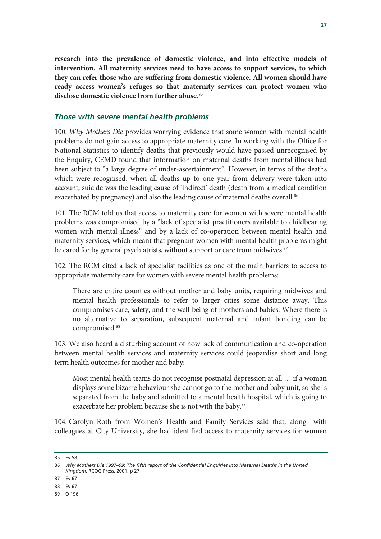**research into the prevalence of domestic violence, and into effective models of intervention. All maternity services need to have access to support services, to which they can refer those who are suffering from domestic violence. All women should have ready access women's refuges so that maternity services can protect women who disclose domestic violence from further abuse.**<sup>85</sup>

#### *Those with severe mental health problems*

100. *Why Mothers Die* provides worrying evidence that some women with mental health problems do not gain access to appropriate maternity care. In working with the Office for National Statistics to identify deaths that previously would have passed unrecognised by the Enquiry, CEMD found that information on maternal deaths from mental illness had been subject to "a large degree of under-ascertainment". However, in terms of the deaths which were recognised, when all deaths up to one year from delivery were taken into account, suicide was the leading cause of 'indirect' death (death from a medical condition exacerbated by pregnancy) and also the leading cause of maternal deaths overall.<sup>86</sup>

101. The RCM told us that access to maternity care for women with severe mental health problems was compromised by a "lack of specialist practitioners available to childbearing women with mental illness" and by a lack of co-operation between mental health and maternity services, which meant that pregnant women with mental health problems might be cared for by general psychiatrists, without support or care from midwives.<sup>87</sup>

102. The RCM cited a lack of specialist facilities as one of the main barriers to access to appropriate maternity care for women with severe mental health problems:

There are entire counties without mother and baby units, requiring midwives and mental health professionals to refer to larger cities some distance away. This compromises care, safety, and the well-being of mothers and babies. Where there is no alternative to separation, subsequent maternal and infant bonding can be compromised.88

103. We also heard a disturbing account of how lack of communication and co-operation between mental health services and maternity services could jeopardise short and long term health outcomes for mother and baby:

Most mental health teams do not recognise postnatal depression at all … if a woman displays some bizarre behaviour she cannot go to the mother and baby unit, so she is separated from the baby and admitted to a mental health hospital, which is going to exacerbate her problem because she is not with the baby.<sup>89</sup>

104. Carolyn Roth from Women's Health and Family Services said that, along with colleagues at City University, she had identified access to maternity services for women

<sup>85</sup> Ev 58

<sup>86</sup> *Why Mothers Die 1997–99*: *The fifth report of the Confidential Enquiries into Maternal Deaths in the United Kingdom*, RCOG Press, 2001, p 27

<sup>87</sup> Ev 67

<sup>88</sup> Ev 67

<sup>89</sup> Q 196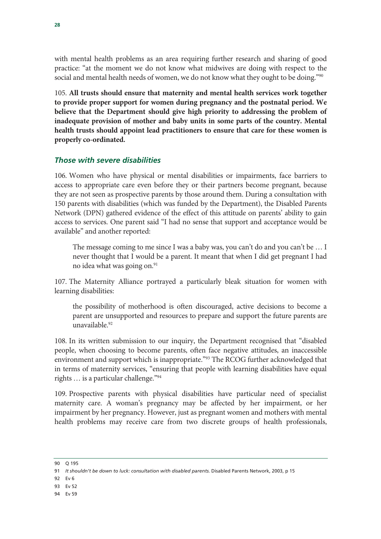with mental health problems as an area requiring further research and sharing of good practice: "at the moment we do not know what midwives are doing with respect to the social and mental health needs of women, we do not know what they ought to be doing."<sup>90</sup>

105. **All trusts should ensure that maternity and mental health services work together to provide proper support for women during pregnancy and the postnatal period. We believe that the Department should give high priority to addressing the problem of inadequate provision of mother and baby units in some parts of the country. Mental health trusts should appoint lead practitioners to ensure that care for these women is properly co-ordinated.**

#### *Those with severe disabilities*

106. Women who have physical or mental disabilities or impairments, face barriers to access to appropriate care even before they or their partners become pregnant, because they are not seen as prospective parents by those around them. During a consultation with 150 parents with disabilities (which was funded by the Department), the Disabled Parents Network (DPN) gathered evidence of the effect of this attitude on parents' ability to gain access to services. One parent said "I had no sense that support and acceptance would be available" and another reported:

The message coming to me since I was a baby was, you can't do and you can't be … I never thought that I would be a parent. It meant that when I did get pregnant I had no idea what was going on.<sup>91</sup>

107. The Maternity Alliance portrayed a particularly bleak situation for women with learning disabilities:

the possibility of motherhood is often discouraged, active decisions to become a parent are unsupported and resources to prepare and support the future parents are unavailable.<sup>92</sup>

108. In its written submission to our inquiry, the Department recognised that "disabled people, when choosing to become parents, often face negative attitudes, an inaccessible environment and support which is inappropriate."93 The RCOG further acknowledged that in terms of maternity services, "ensuring that people with learning disabilities have equal rights … is a particular challenge."94

109. Prospective parents with physical disabilities have particular need of specialist maternity care. A woman's pregnancy may be affected by her impairment, or her impairment by her pregnancy. However, just as pregnant women and mothers with mental health problems may receive care from two discrete groups of health professionals,

- 92 Ev 6
- 93 Ev 52
- 94 Ev 59

<sup>90</sup> Q 195

<sup>91</sup> *It shouldn't be down to luck: consultation with disabled parents*. Disabled Parents Network, 2003, p 15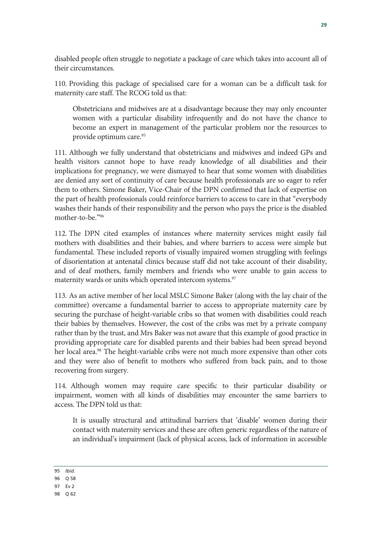disabled people often struggle to negotiate a package of care which takes into account all of their circumstances.

110. Providing this package of specialised care for a woman can be a difficult task for maternity care staff. The RCOG told us that:

Obstetricians and midwives are at a disadvantage because they may only encounter women with a particular disability infrequently and do not have the chance to become an expert in management of the particular problem nor the resources to provide optimum care.<sup>95</sup>

111. Although we fully understand that obstetricians and midwives and indeed GPs and health visitors cannot hope to have ready knowledge of all disabilities and their implications for pregnancy, we were dismayed to hear that some women with disabilities are denied any sort of continuity of care because health professionals are so eager to refer them to others. Simone Baker, Vice-Chair of the DPN confirmed that lack of expertise on the part of health professionals could reinforce barriers to access to care in that "everybody washes their hands of their responsibility and the person who pays the price is the disabled mother-to-be."96

112. The DPN cited examples of instances where maternity services might easily fail mothers with disabilities and their babies, and where barriers to access were simple but fundamental. These included reports of visually impaired women struggling with feelings of disorientation at antenatal clinics because staff did not take account of their disability, and of deaf mothers, family members and friends who were unable to gain access to maternity wards or units which operated intercom systems.<sup>97</sup>

113. As an active member of her local MSLC Simone Baker (along with the lay chair of the committee) overcame a fundamental barrier to access to appropriate maternity care by securing the purchase of height-variable cribs so that women with disabilities could reach their babies by themselves. However, the cost of the cribs was met by a private company rather than by the trust, and Mrs Baker was not aware that this example of good practice in providing appropriate care for disabled parents and their babies had been spread beyond her local area.<sup>98</sup> The height-variable cribs were not much more expensive than other cots and they were also of benefit to mothers who suffered from back pain, and to those recovering from surgery.

114. Although women may require care specific to their particular disability or impairment, women with all kinds of disabilities may encounter the same barriers to access. The DPN told us that:

It is usually structural and attitudinal barriers that 'disable' women during their contact with maternity services and these are often generic regardless of the nature of an individual's impairment (lack of physical access, lack of information in accessible

95 *Ibid.*

<sup>96</sup> Q 58

<sup>97</sup> Ev 2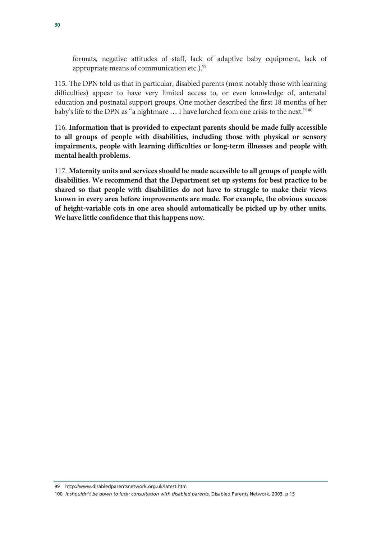formats, negative attitudes of staff, lack of adaptive baby equipment, lack of appropriate means of communication etc.).<sup>99</sup>

115. The DPN told us that in particular, disabled parents (most notably those with learning difficulties) appear to have very limited access to, or even knowledge of, antenatal education and postnatal support groups. One mother described the first 18 months of her baby's life to the DPN as "a nightmare ... I have lurched from one crisis to the next."<sup>100</sup>

116. **Information that is provided to expectant parents should be made fully accessible to all groups of people with disabilities, including those with physical or sensory impairments, people with learning difficulties or long-term illnesses and people with mental health problems.**

117. **Maternity units and services should be made accessible to all groups of people with disabilities. We recommend that the Department set up systems for best practice to be shared so that people with disabilities do not have to struggle to make their views known in every area before improvements are made. For example, the obvious success of height-variable cots in one area should automatically be picked up by other units. We have little confidence that this happens now.**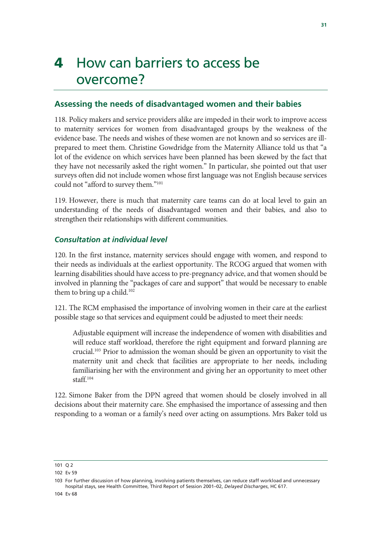### 4 How can barriers to access be overcome?

#### **Assessing the needs of disadvantaged women and their babies**

118. Policy makers and service providers alike are impeded in their work to improve access to maternity services for women from disadvantaged groups by the weakness of the evidence base. The needs and wishes of these women are not known and so services are illprepared to meet them. Christine Gowdridge from the Maternity Alliance told us that "a lot of the evidence on which services have been planned has been skewed by the fact that they have not necessarily asked the right women." In particular, she pointed out that user surveys often did not include women whose first language was not English because services could not "afford to survey them."101

119. However, there is much that maternity care teams can do at local level to gain an understanding of the needs of disadvantaged women and their babies, and also to strengthen their relationships with different communities.

#### *Consultation at individual level*

120. In the first instance, maternity services should engage with women, and respond to their needs as individuals at the earliest opportunity. The RCOG argued that women with learning disabilities should have access to pre-pregnancy advice, and that women should be involved in planning the "packages of care and support" that would be necessary to enable them to bring up a child.<sup>102</sup>

121. The RCM emphasised the importance of involving women in their care at the earliest possible stage so that services and equipment could be adjusted to meet their needs:

Adjustable equipment will increase the independence of women with disabilities and will reduce staff workload, therefore the right equipment and forward planning are crucial.103 Prior to admission the woman should be given an opportunity to visit the maternity unit and check that facilities are appropriate to her needs, including familiarising her with the environment and giving her an opportunity to meet other staff.104

122. Simone Baker from the DPN agreed that women should be closely involved in all decisions about their maternity care. She emphasised the importance of assessing and then responding to a woman or a family's need over acting on assumptions. Mrs Baker told us

<sup>101</sup> Q 2

<sup>102</sup> Ev 59

<sup>103</sup> For further discussion of how planning, involving patients themselves, can reduce staff workload and unnecessary hospital stays, see Health Committee, Third Report of Session 2001–02, *Delayed Discharges*, HC 617.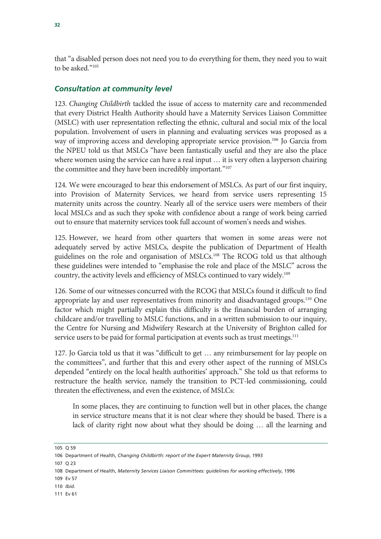that "a disabled person does not need you to do everything for them, they need you to wait to be asked."105

#### *Consultation at community level*

123. *Changing Childbirth* tackled the issue of access to maternity care and recommended that every District Health Authority should have a Maternity Services Liaison Committee (MSLC) with user representation reflecting the ethnic, cultural and social mix of the local population. Involvement of users in planning and evaluating services was proposed as a way of improving access and developing appropriate service provision.<sup>106</sup> Jo Garcia from the NPEU told us that MSLCs "have been fantastically useful and they are also the place where women using the service can have a real input  $\dots$  it is very often a layperson chairing the committee and they have been incredibly important."<sup>107</sup>

124. We were encouraged to hear this endorsement of MSLCs. As part of our first inquiry, into Provision of Maternity Services, we heard from service users representing 15 maternity units across the country. Nearly all of the service users were members of their local MSLCs and as such they spoke with confidence about a range of work being carried out to ensure that maternity services took full account of women's needs and wishes.

125. However, we heard from other quarters that women in some areas were not adequately served by active MSLCs, despite the publication of Department of Health guidelines on the role and organisation of MSLCs.<sup>108</sup> The RCOG told us that although these guidelines were intended to "emphasise the role and place of the MSLC" across the country, the activity levels and efficiency of MSLCs continued to vary widely.109

126. Some of our witnesses concurred with the RCOG that MSLCs found it difficult to find appropriate lay and user representatives from minority and disadvantaged groups.<sup>110</sup> One factor which might partially explain this difficulty is the financial burden of arranging childcare and/or travelling to MSLC functions, and in a written submission to our inquiry, the Centre for Nursing and Midwifery Research at the University of Brighton called for service users to be paid for formal participation at events such as trust meetings.<sup>111</sup>

127. Jo Garcia told us that it was "difficult to get … any reimbursement for lay people on the committees", and further that this and every other aspect of the running of MSLCs depended "entirely on the local health authorities' approach." She told us that reforms to restructure the health service, namely the transition to PCT-led commissioning, could threaten the effectiveness, and even the existence, of MSLCs:

In some places, they are continuing to function well but in other places, the change in service structure means that it is not clear where they should be based. There is a lack of clarity right now about what they should be doing … all the learning and

107 Q 23

<sup>105</sup> Q 59

<sup>106</sup> Department of Health, *Changing Childbirth: report of the Expert Maternity Group*, 1993

<sup>108</sup> Department of Health, *Maternity Services Liaison Committees: guidelines for working effectively*, 1996

<sup>109</sup> Ev 57

<sup>110</sup> *Ibid.*

<sup>111</sup> Ev 61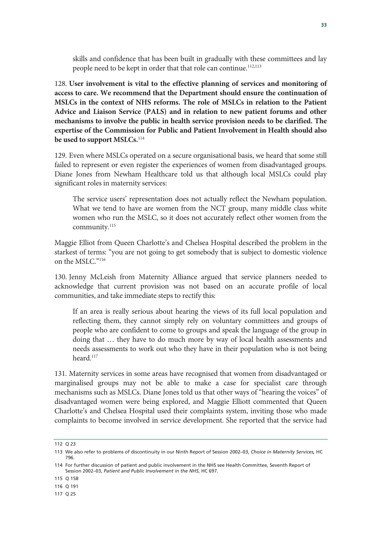skills and confidence that has been built in gradually with these committees and lay people need to be kept in order that that role can continue.<sup>112,113</sup>

128. **User involvement is vital to the effective planning of services and monitoring of access to care. We recommend that the Department should ensure the continuation of MSLCs in the context of NHS reforms. The role of MSLCs in relation to the Patient Advice and Liaison Service (PALS) and in relation to new patient forums and other mechanisms to involve the public in health service provision needs to be clarified. The expertise of the Commission for Public and Patient Involvement in Health should also be used to support MSLCs.**<sup>114</sup>

129. Even where MSLCs operated on a secure organisational basis, we heard that some still failed to represent or even register the experiences of women from disadvantaged groups. Diane Jones from Newham Healthcare told us that although local MSLCs could play significant roles in maternity services:

The service users' representation does not actually reflect the Newham population. What we tend to have are women from the NCT group, many middle class white women who run the MSLC, so it does not accurately reflect other women from the community.<sup>115</sup>

Maggie Elliot from Queen Charlotte's and Chelsea Hospital described the problem in the starkest of terms: "you are not going to get somebody that is subject to domestic violence on the MSLC."116

130. Jenny McLeish from Maternity Alliance argued that service planners needed to acknowledge that current provision was not based on an accurate profile of local communities, and take immediate steps to rectify this:

If an area is really serious about hearing the views of its full local population and reflecting them, they cannot simply rely on voluntary committees and groups of people who are confident to come to groups and speak the language of the group in doing that … they have to do much more by way of local health assessments and needs assessments to work out who they have in their population who is not being heard.117

131. Maternity services in some areas have recognised that women from disadvantaged or marginalised groups may not be able to make a case for specialist care through mechanisms such as MSLCs. Diane Jones told us that other ways of "hearing the voices" of disadvantaged women were being explored, and Maggie Elliott commented that Queen Charlotte's and Chelsea Hospital used their complaints system, inviting those who made complaints to become involved in service development. She reported that the service had

<sup>112</sup> Q 23

<sup>113</sup> We also refer to problems of discontinuity in our Ninth Report of Session 2002–03, *Choice in Maternity Services,* HC 796.

<sup>114</sup> For further discussion of patient and public involvement in the NHS see Health Committee, Seventh Report of Session 2002–03, *Patient and Public Involvement in the NHS*, HC 697.

<sup>115</sup> Q 158

<sup>116</sup> Q 191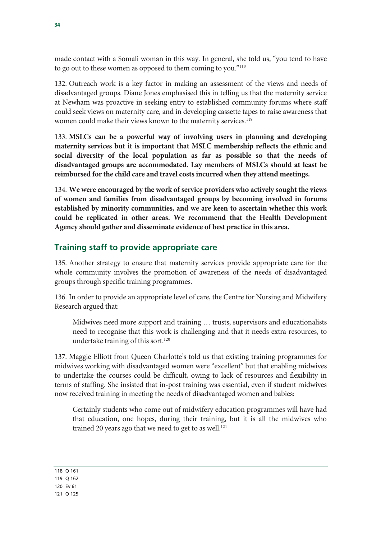made contact with a Somali woman in this way. In general, she told us, "you tend to have to go out to these women as opposed to them coming to you."<sup>118</sup>

132. Outreach work is a key factor in making an assessment of the views and needs of disadvantaged groups. Diane Jones emphasised this in telling us that the maternity service at Newham was proactive in seeking entry to established community forums where staff could seek views on maternity care, and in developing cassette tapes to raise awareness that women could make their views known to the maternity services.<sup>119</sup>

133. **MSLCs can be a powerful way of involving users in planning and developing maternity services but it is important that MSLC membership reflects the ethnic and social diversity of the local population as far as possible so that the needs of disadvantaged groups are accommodated. Lay members of MSLCs should at least be reimbursed for the child care and travel costs incurred when they attend meetings.** 

134. **We were encouraged by the work of service providers who actively sought the views of women and families from disadvantaged groups by becoming involved in forums established by minority communities, and we are keen to ascertain whether this work could be replicated in other areas. We recommend that the Health Development Agency should gather and disseminate evidence of best practice in this area.** 

### **Training staff to provide appropriate care**

135. Another strategy to ensure that maternity services provide appropriate care for the whole community involves the promotion of awareness of the needs of disadvantaged groups through specific training programmes.

136. In order to provide an appropriate level of care, the Centre for Nursing and Midwifery Research argued that:

Midwives need more support and training … trusts, supervisors and educationalists need to recognise that this work is challenging and that it needs extra resources, to undertake training of this sort.<sup>120</sup>

137. Maggie Elliott from Queen Charlotte's told us that existing training programmes for midwives working with disadvantaged women were "excellent" but that enabling midwives to undertake the courses could be difficult, owing to lack of resources and flexibility in terms of staffing. She insisted that in-post training was essential, even if student midwives now received training in meeting the needs of disadvantaged women and babies:

Certainly students who come out of midwifery education programmes will have had that education, one hopes, during their training, but it is all the midwives who trained 20 years ago that we need to get to as well.<sup>121</sup>

118 Q 161 119 Q 162

120 Ev 61

121 Q 125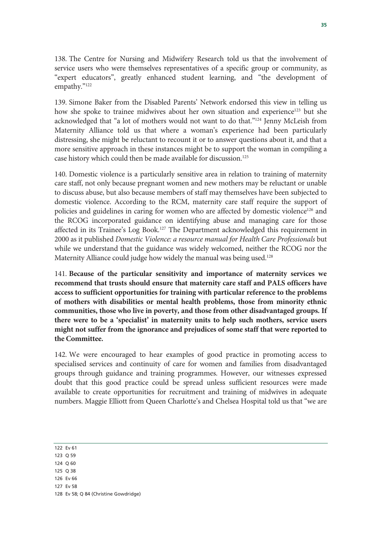138. The Centre for Nursing and Midwifery Research told us that the involvement of service users who were themselves representatives of a specific group or community, as "expert educators", greatly enhanced student learning, and "the development of empathy."122

139. Simone Baker from the Disabled Parents' Network endorsed this view in telling us how she spoke to trainee midwives about her own situation and experience<sup>123</sup> but she acknowledged that "a lot of mothers would not want to do that."124 Jenny McLeish from Maternity Alliance told us that where a woman's experience had been particularly distressing, she might be reluctant to recount it or to answer questions about it, and that a more sensitive approach in these instances might be to support the woman in compiling a case history which could then be made available for discussion.125

140. Domestic violence is a particularly sensitive area in relation to training of maternity care staff, not only because pregnant women and new mothers may be reluctant or unable to discuss abuse, but also because members of staff may themselves have been subjected to domestic violence. According to the RCM, maternity care staff require the support of policies and guidelines in caring for women who are affected by domestic violence<sup>126</sup> and the RCOG incorporated guidance on identifying abuse and managing care for those affected in its Trainee's Log Book.127 The Department acknowledged this requirement in 2000 as it published *Domestic Violence: a resource manual for Health Care Professionals* but while we understand that the guidance was widely welcomed, neither the RCOG nor the Maternity Alliance could judge how widely the manual was being used.<sup>128</sup>

141. **Because of the particular sensitivity and importance of maternity services we recommend that trusts should ensure that maternity care staff and PALS officers have access to sufficient opportunities for training with particular reference to the problems of mothers with disabilities or mental health problems, those from minority ethnic communities, those who live in poverty, and those from other disadvantaged groups. If there were to be a 'specialist' in maternity units to help such mothers, service users might not suffer from the ignorance and prejudices of some staff that were reported to the Committee.**

142. We were encouraged to hear examples of good practice in promoting access to specialised services and continuity of care for women and families from disadvantaged groups through guidance and training programmes. However, our witnesses expressed doubt that this good practice could be spread unless sufficient resources were made available to create opportunities for recruitment and training of midwives in adequate numbers. Maggie Elliott from Queen Charlotte's and Chelsea Hospital told us that "we are

122 Ev 61

- 123 Q 59
- 124 Q 60
- 125 Q 38
- 126 Ev 66
- 127 Ev 58
- 128 Ev 58; Q 84 (Christine Gowdridge)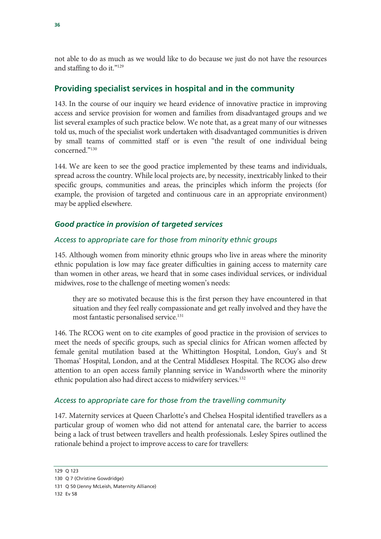not able to do as much as we would like to do because we just do not have the resources and staffing to do it."129

### **Providing specialist services in hospital and in the community**

143. In the course of our inquiry we heard evidence of innovative practice in improving access and service provision for women and families from disadvantaged groups and we list several examples of such practice below. We note that, as a great many of our witnesses told us, much of the specialist work undertaken with disadvantaged communities is driven by small teams of committed staff or is even "the result of one individual being concerned."130

144. We are keen to see the good practice implemented by these teams and individuals, spread across the country. While local projects are, by necessity, inextricably linked to their specific groups, communities and areas, the principles which inform the projects (for example, the provision of targeted and continuous care in an appropriate environment) may be applied elsewhere.

### *Good practice in provision of targeted services*

#### *Access to appropriate care for those from minority ethnic groups*

145. Although women from minority ethnic groups who live in areas where the minority ethnic population is low may face greater difficulties in gaining access to maternity care than women in other areas, we heard that in some cases individual services, or individual midwives, rose to the challenge of meeting women's needs:

they are so motivated because this is the first person they have encountered in that situation and they feel really compassionate and get really involved and they have the most fantastic personalised service.<sup>131</sup>

146. The RCOG went on to cite examples of good practice in the provision of services to meet the needs of specific groups, such as special clinics for African women affected by female genital mutilation based at the Whittington Hospital, London, Guy's and St Thomas' Hospital, London, and at the Central Middlesex Hospital. The RCOG also drew attention to an open access family planning service in Wandsworth where the minority ethnic population also had direct access to midwifery services.132

#### *Access to appropriate care for those from the travelling community*

147. Maternity services at Queen Charlotte's and Chelsea Hospital identified travellers as a particular group of women who did not attend for antenatal care, the barrier to access being a lack of trust between travellers and health professionals. Lesley Spires outlined the rationale behind a project to improve access to care for travellers:

<sup>129</sup> Q 123

<sup>130</sup> Q 7 (Christine Gowdridge)

<sup>131</sup> Q 50 (Jenny McLeish, Maternity Alliance)

<sup>132</sup> Ev 58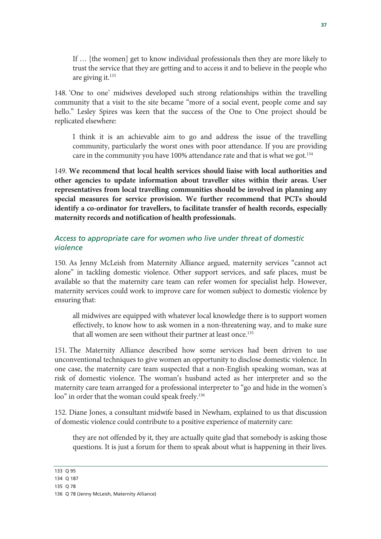If … [the women] get to know individual professionals then they are more likely to trust the service that they are getting and to access it and to believe in the people who are giving it.<sup>133</sup>

148. 'One to one' midwives developed such strong relationships within the travelling community that a visit to the site became "more of a social event, people come and say hello." Lesley Spires was keen that the success of the One to One project should be replicated elsewhere:

I think it is an achievable aim to go and address the issue of the travelling community, particularly the worst ones with poor attendance. If you are providing care in the community you have 100% attendance rate and that is what we got.<sup>134</sup>

149. **We recommend that local health services should liaise with local authorities and other agencies to update information about traveller sites within their areas. User representatives from local travelling communities should be involved in planning any special measures for service provision. We further recommend that PCTs should identify a co-ordinator for travellers, to facilitate transfer of health records, especially maternity records and notification of health professionals.**

#### *Access to appropriate care for women who live under threat of domestic violence*

150. As Jenny McLeish from Maternity Alliance argued, maternity services "cannot act alone" in tackling domestic violence. Other support services, and safe places, must be available so that the maternity care team can refer women for specialist help. However, maternity services could work to improve care for women subject to domestic violence by ensuring that:

all midwives are equipped with whatever local knowledge there is to support women effectively, to know how to ask women in a non-threatening way, and to make sure that all women are seen without their partner at least once.<sup>135</sup>

151. The Maternity Alliance described how some services had been driven to use unconventional techniques to give women an opportunity to disclose domestic violence. In one case, the maternity care team suspected that a non-English speaking woman, was at risk of domestic violence. The woman's husband acted as her interpreter and so the maternity care team arranged for a professional interpreter to "go and hide in the women's loo" in order that the woman could speak freely.<sup>136</sup>

152. Diane Jones, a consultant midwife based in Newham, explained to us that discussion of domestic violence could contribute to a positive experience of maternity care:

they are not offended by it, they are actually quite glad that somebody is asking those questions. It is just a forum for them to speak about what is happening in their lives.

133 Q 95

<sup>134</sup> Q 187

<sup>135</sup> Q 78

<sup>136</sup> Q 78 (Jenny McLeish, Maternity Alliance)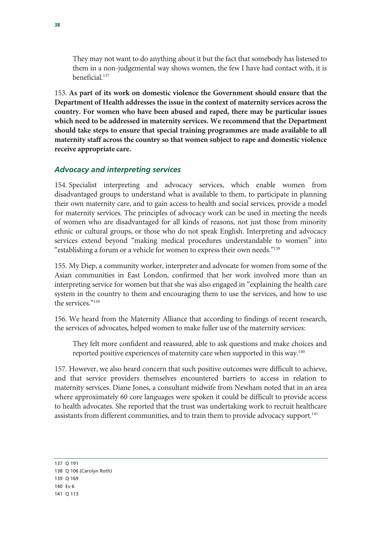They may not want to do anything about it but the fact that somebody has listened to them in a non-judgemental way shows women, the few I have had contact with, it is beneficial.137

153. **As part of its work on domestic violence the Government should ensure that the Department of Health addresses the issue in the context of maternity services across the country. For women who have been abused and raped, there may be particular issues which need to be addressed in maternity services. We recommend that the Department should take steps to ensure that special training programmes are made available to all maternity staff across the country so that women subject to rape and domestic violence receive appropriate care.**

#### *Advocacy and interpreting services*

154. Specialist interpreting and advocacy services, which enable women from disadvantaged groups to understand what is available to them, to participate in planning their own maternity care, and to gain access to health and social services, provide a model for maternity services. The principles of advocacy work can be used in meeting the needs of women who are disadvantaged for all kinds of reasons, not just those from minority ethnic or cultural groups, or those who do not speak English. Interpreting and advocacy services extend beyond "making medical procedures understandable to women" into "establishing a forum or a vehicle for women to express their own needs."138

155. My Diep, a community worker, interpreter and advocate for women from some of the Asian communities in East London, confirmed that her work involved more than an interpreting service for women but that she was also engaged in "explaining the health care system in the country to them and encouraging them to use the services, and how to use the services."139

156. We heard from the Maternity Alliance that according to findings of recent research, the services of advocates, helped women to make fuller use of the maternity services:

They felt more confident and reassured, able to ask questions and make choices and reported positive experiences of maternity care when supported in this way.<sup>140</sup>

157. However, we also heard concern that such positive outcomes were difficult to achieve, and that service providers themselves encountered barriers to access in relation to maternity services. Diane Jones, a consultant midwife from Newham noted that in an area where approximately 60 core languages were spoken it could be difficult to provide access to health advocates. She reported that the trust was undertaking work to recruit healthcare assistants from different communities, and to train them to provide advocacy support.<sup>141</sup>

<sup>137</sup> Q 191

<sup>138</sup> Q 106 (Carolyn Roth) 139 Q 169

<sup>140</sup> Ev 6

<sup>141</sup> Q 113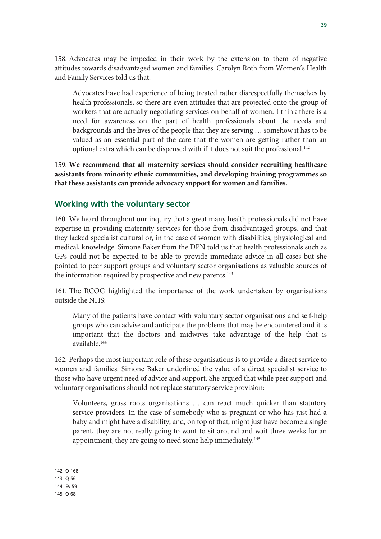158. Advocates may be impeded in their work by the extension to them of negative attitudes towards disadvantaged women and families. Carolyn Roth from Women's Health and Family Services told us that:

Advocates have had experience of being treated rather disrespectfully themselves by health professionals, so there are even attitudes that are projected onto the group of workers that are actually negotiating services on behalf of women. I think there is a need for awareness on the part of health professionals about the needs and backgrounds and the lives of the people that they are serving … somehow it has to be valued as an essential part of the care that the women are getting rather than an optional extra which can be dispensed with if it does not suit the professional.142

159. **We recommend that all maternity services should consider recruiting healthcare assistants from minority ethnic communities, and developing training programmes so that these assistants can provide advocacy support for women and families.** 

#### **Working with the voluntary sector**

160. We heard throughout our inquiry that a great many health professionals did not have expertise in providing maternity services for those from disadvantaged groups, and that they lacked specialist cultural or, in the case of women with disabilities, physiological and medical, knowledge. Simone Baker from the DPN told us that health professionals such as GPs could not be expected to be able to provide immediate advice in all cases but she pointed to peer support groups and voluntary sector organisations as valuable sources of the information required by prospective and new parents.<sup>143</sup>

161. The RCOG highlighted the importance of the work undertaken by organisations outside the NHS:

Many of the patients have contact with voluntary sector organisations and self-help groups who can advise and anticipate the problems that may be encountered and it is important that the doctors and midwives take advantage of the help that is available.144

162. Perhaps the most important role of these organisations is to provide a direct service to women and families. Simone Baker underlined the value of a direct specialist service to those who have urgent need of advice and support. She argued that while peer support and voluntary organisations should not replace statutory service provision:

Volunteers, grass roots organisations … can react much quicker than statutory service providers. In the case of somebody who is pregnant or who has just had a baby and might have a disability, and, on top of that, might just have become a single parent, they are not really going to want to sit around and wait three weeks for an appointment, they are going to need some help immediately.<sup>145</sup>

142 Q 168

143 Q 56

144 Ev 59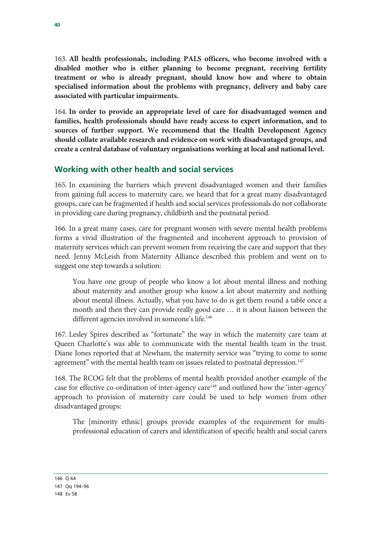163. **All health professionals, including PALS officers, who become involved with a disabled mother who is either planning to become pregnant, receiving fertility treatment or who is already pregnant, should know how and where to obtain specialised information about the problems with pregnancy, delivery and baby care associated with particular impairments.** 

164. **In order to provide an appropriate level of care for disadvantaged women and families, health professionals should have ready access to expert information, and to sources of further support. We recommend that the Health Development Agency should collate available research and evidence on work with disadvantaged groups, and create a central database of voluntary organisations working at local and national level.**

### **Working with other health and social services**

165. In examining the barriers which prevent disadvantaged women and their families from gaining full access to maternity care, we heard that for a great many disadvantaged groups, care can be fragmented if health and social services professionals do not collaborate in providing care during pregnancy, childbirth and the postnatal period.

166. In a great many cases, care for pregnant women with severe mental health problems forms a vivid illustration of the fragmented and incoherent approach to provision of maternity services which can prevent women from receiving the care and support that they need. Jenny McLeish from Maternity Alliance described this problem and went on to suggest one step towards a solution:

You have one group of people who know a lot about mental illness and nothing about maternity and another group who know a lot about maternity and nothing about mental illness. Actually, what you have to do is get them round a table once a month and then they can provide really good care … it is about liaison between the different agencies involved in someone's life.<sup>146</sup>

167. Lesley Spires described as "fortunate" the way in which the maternity care team at Queen Charlotte's was able to communicate with the mental health team in the trust. Diane Jones reported that at Newham, the maternity service was "trying to come to some agreement" with the mental health team on issues related to postnatal depression.<sup>147</sup>

168. The RCOG felt that the problems of mental health provided another example of the case for effective co-ordination of inter-agency care<sup>148</sup> and outlined how the 'inter-agency' approach to provision of maternity care could be used to help women from other disadvantaged groups:

The [minority ethnic] groups provide examples of the requirement for multiprofessional education of carers and identification of specific health and social carers

146 Q 64 147 Qq 194–96 148 Ev 58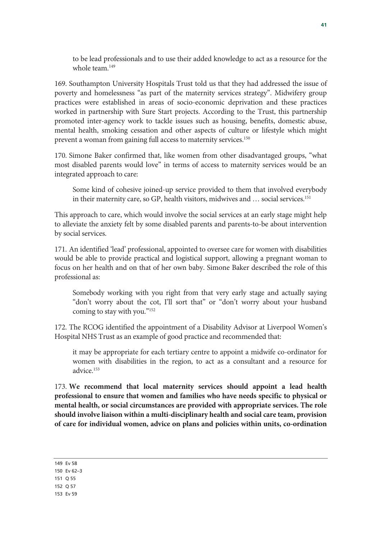to be lead professionals and to use their added knowledge to act as a resource for the whole team.149

169. Southampton University Hospitals Trust told us that they had addressed the issue of poverty and homelessness "as part of the maternity services strategy". Midwifery group practices were established in areas of socio-economic deprivation and these practices worked in partnership with Sure Start projects. According to the Trust, this partnership promoted inter-agency work to tackle issues such as housing, benefits, domestic abuse, mental health, smoking cessation and other aspects of culture or lifestyle which might prevent a woman from gaining full access to maternity services.150

170. Simone Baker confirmed that, like women from other disadvantaged groups, "what most disabled parents would love" in terms of access to maternity services would be an integrated approach to care:

Some kind of cohesive joined-up service provided to them that involved everybody in their maternity care, so GP, health visitors, midwives and ... social services.<sup>151</sup>

This approach to care, which would involve the social services at an early stage might help to alleviate the anxiety felt by some disabled parents and parents-to-be about intervention by social services.

171. An identified 'lead' professional, appointed to oversee care for women with disabilities would be able to provide practical and logistical support, allowing a pregnant woman to focus on her health and on that of her own baby. Simone Baker described the role of this professional as:

Somebody working with you right from that very early stage and actually saying "don't worry about the cot, I'll sort that" or "don't worry about your husband coming to stay with you."152

172. The RCOG identified the appointment of a Disability Advisor at Liverpool Women's Hospital NHS Trust as an example of good practice and recommended that:

it may be appropriate for each tertiary centre to appoint a midwife co-ordinator for women with disabilities in the region, to act as a consultant and a resource for advice.153

173. **We recommend that local maternity services should appoint a lead health professional to ensure that women and families who have needs specific to physical or mental health, or social circumstances are provided with appropriate services. The role should involve liaison within a multi-disciplinary health and social care team, provision of care for individual women, advice on plans and policies within units, co-ordination** 

149 Ev 58

150 Ev 62–3

151 Q 55

152 Q 57

153 Ev 59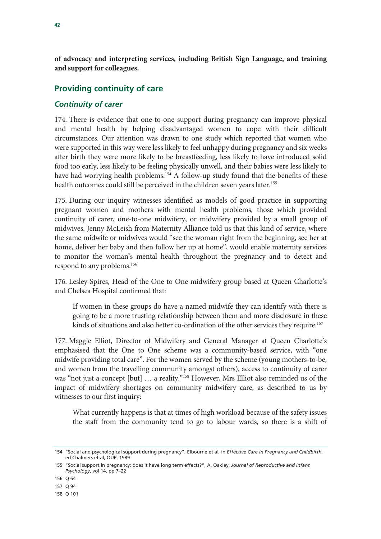**of advocacy and interpreting services, including British Sign Language, and training and support for colleagues.** 

### **Providing continuity of care**

#### *Continuity of carer*

174. There is evidence that one-to-one support during pregnancy can improve physical and mental health by helping disadvantaged women to cope with their difficult circumstances. Our attention was drawn to one study which reported that women who were supported in this way were less likely to feel unhappy during pregnancy and six weeks after birth they were more likely to be breastfeeding, less likely to have introduced solid food too early, less likely to be feeling physically unwell, and their babies were less likely to have had worrying health problems.<sup>154</sup> A follow-up study found that the benefits of these health outcomes could still be perceived in the children seven years later.<sup>155</sup>

175. During our inquiry witnesses identified as models of good practice in supporting pregnant women and mothers with mental health problems, those which provided continuity of carer, one-to-one midwifery, or midwifery provided by a small group of midwives. Jenny McLeish from Maternity Alliance told us that this kind of service, where the same midwife or midwives would "see the woman right from the beginning, see her at home, deliver her baby and then follow her up at home", would enable maternity services to monitor the woman's mental health throughout the pregnancy and to detect and respond to any problems.156

176. Lesley Spires, Head of the One to One midwifery group based at Queen Charlotte's and Chelsea Hospital confirmed that:

If women in these groups do have a named midwife they can identify with there is going to be a more trusting relationship between them and more disclosure in these kinds of situations and also better co-ordination of the other services they require.<sup>157</sup>

177. Maggie Elliot, Director of Midwifery and General Manager at Queen Charlotte's emphasised that the One to One scheme was a community-based service, with "one midwife providing total care". For the women served by the scheme (young mothers-to-be, and women from the travelling community amongst others), access to continuity of carer was "not just a concept [but] … a reality."158 However, Mrs Elliot also reminded us of the impact of midwifery shortages on community midwifery care, as described to us by witnesses to our first inquiry:

What currently happens is that at times of high workload because of the safety issues the staff from the community tend to go to labour wards, so there is a shift of

<sup>154 &</sup>quot;Social and psychological support during pregnancy", Elbourne et al, in *Effective Care in Pregnancy and Childbirth*, ed Chalmers et al, OUP, 1989

<sup>155 &</sup>quot;Social support in pregnancy: does it have long term effects?", A. Oakley, *Journal of Reproductive and Infant Psychology*, vol 14, pp 7–22

<sup>156</sup> Q 64

<sup>157</sup> Q 94

<sup>158</sup> Q 101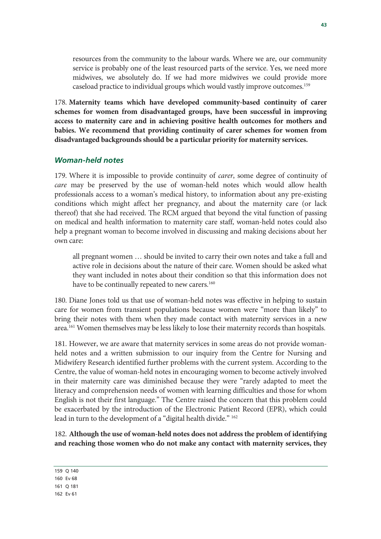resources from the community to the labour wards. Where we are, our community service is probably one of the least resourced parts of the service. Yes, we need more midwives, we absolutely do. If we had more midwives we could provide more caseload practice to individual groups which would vastly improve outcomes.159

178. **Maternity teams which have developed community-based continuity of carer schemes for women from disadvantaged groups, have been successful in improving access to maternity care and in achieving positive health outcomes for mothers and babies. We recommend that providing continuity of carer schemes for women from disadvantaged backgrounds should be a particular priority for maternity services.** 

#### *Woman-held notes*

179. Where it is impossible to provide continuity of *carer*, some degree of continuity of *care* may be preserved by the use of woman-held notes which would allow health professionals access to a woman's medical history, to information about any pre-existing conditions which might affect her pregnancy, and about the maternity care (or lack thereof) that she had received. The RCM argued that beyond the vital function of passing on medical and health information to maternity care staff, woman-held notes could also help a pregnant woman to become involved in discussing and making decisions about her own care:

all pregnant women … should be invited to carry their own notes and take a full and active role in decisions about the nature of their care. Women should be asked what they want included in notes about their condition so that this information does not have to be continually repeated to new carers.<sup>160</sup>

180. Diane Jones told us that use of woman-held notes was effective in helping to sustain care for women from transient populations because women were "more than likely" to bring their notes with them when they made contact with maternity services in a new area.<sup>161</sup> Women themselves may be less likely to lose their maternity records than hospitals.

181. However, we are aware that maternity services in some areas do not provide womanheld notes and a written submission to our inquiry from the Centre for Nursing and Midwifery Research identified further problems with the current system. According to the Centre, the value of woman-held notes in encouraging women to become actively involved in their maternity care was diminished because they were "rarely adapted to meet the literacy and comprehension needs of women with learning difficulties and those for whom English is not their first language." The Centre raised the concern that this problem could be exacerbated by the introduction of the Electronic Patient Record (EPR), which could lead in turn to the development of a "digital health divide." 162

182. **Although the use of woman-held notes does not address the problem of identifying and reaching those women who do not make any contact with maternity services, they** 

159 Q 140

<sup>160</sup> Ev 68

<sup>161</sup> Q 181

<sup>162</sup> Ev 61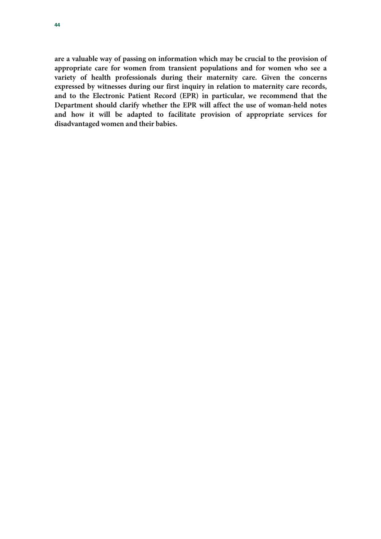**are a valuable way of passing on information which may be crucial to the provision of appropriate care for women from transient populations and for women who see a variety of health professionals during their maternity care. Given the concerns expressed by witnesses during our first inquiry in relation to maternity care records, and to the Electronic Patient Record (EPR) in particular, we recommend that the Department should clarify whether the EPR will affect the use of woman-held notes and how it will be adapted to facilitate provision of appropriate services for disadvantaged women and their babies.**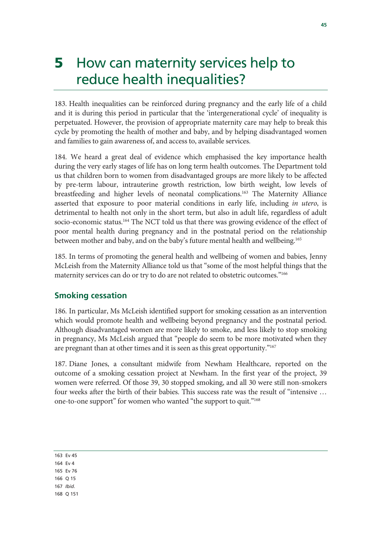# 5 How can maternity services help to reduce health inequalities?

183. Health inequalities can be reinforced during pregnancy and the early life of a child and it is during this period in particular that the 'intergenerational cycle' of inequality is perpetuated. However, the provision of appropriate maternity care may help to break this cycle by promoting the health of mother and baby, and by helping disadvantaged women and families to gain awareness of, and access to, available services.

184. We heard a great deal of evidence which emphasised the key importance health during the very early stages of life has on long term health outcomes. The Department told us that children born to women from disadvantaged groups are more likely to be affected by pre-term labour, intrauterine growth restriction, low birth weight, low levels of breastfeeding and higher levels of neonatal complications.<sup>163</sup> The Maternity Alliance asserted that exposure to poor material conditions in early life, including *in utero*, is detrimental to health not only in the short term, but also in adult life, regardless of adult socio-economic status.<sup>164</sup> The NCT told us that there was growing evidence of the effect of poor mental health during pregnancy and in the postnatal period on the relationship between mother and baby, and on the baby's future mental health and wellbeing.<sup>165</sup>

185. In terms of promoting the general health and wellbeing of women and babies, Jenny McLeish from the Maternity Alliance told us that "some of the most helpful things that the maternity services can do or try to do are not related to obstetric outcomes."<sup>166</sup>

### **Smoking cessation**

186. In particular, Ms McLeish identified support for smoking cessation as an intervention which would promote health and wellbeing beyond pregnancy and the postnatal period. Although disadvantaged women are more likely to smoke, and less likely to stop smoking in pregnancy, Ms McLeish argued that "people do seem to be more motivated when they are pregnant than at other times and it is seen as this great opportunity."<sup>167</sup>

187. Diane Jones, a consultant midwife from Newham Healthcare, reported on the outcome of a smoking cessation project at Newham. In the first year of the project, 39 women were referred. Of those 39, 30 stopped smoking, and all 30 were still non-smokers four weeks after the birth of their babies. This success rate was the result of "intensive … one-to-one support" for women who wanted "the support to quit."168

| $\sim$<br>×<br>۰. | $\sim$ |
|-------------------|--------|
|-------------------|--------|

- 164 Ev 4
- 165 Ev 76
- 166 Q 15
- 167 *Ibid.*
- 168 Q 151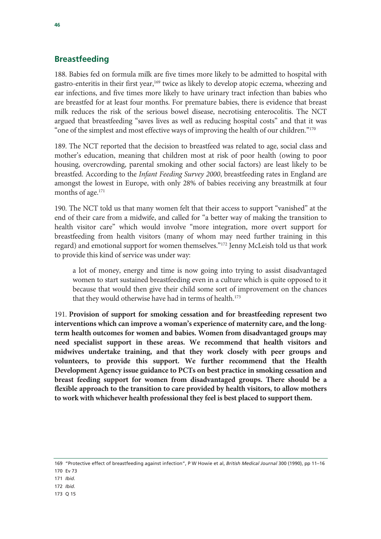#### **Breastfeeding**

188. Babies fed on formula milk are five times more likely to be admitted to hospital with gastro-enteritis in their first year,<sup>169</sup> twice as likely to develop atopic eczema, wheezing and ear infections, and five times more likely to have urinary tract infection than babies who are breastfed for at least four months. For premature babies, there is evidence that breast milk reduces the risk of the serious bowel disease, necrotising enterocolitis. The NCT argued that breastfeeding "saves lives as well as reducing hospital costs" and that it was "one of the simplest and most effective ways of improving the health of our children." $170$ 

189. The NCT reported that the decision to breastfeed was related to age, social class and mother's education, meaning that children most at risk of poor health (owing to poor housing, overcrowding, parental smoking and other social factors) are least likely to be breastfed. According to the *Infant Feeding Survey 2000*, breastfeeding rates in England are amongst the lowest in Europe, with only 28% of babies receiving any breastmilk at four months of age.<sup>171</sup>

190. The NCT told us that many women felt that their access to support "vanished" at the end of their care from a midwife, and called for "a better way of making the transition to health visitor care" which would involve "more integration, more overt support for breastfeeding from health visitors (many of whom may need further training in this regard) and emotional support for women themselves."172 Jenny McLeish told us that work to provide this kind of service was under way:

a lot of money, energy and time is now going into trying to assist disadvantaged women to start sustained breastfeeding even in a culture which is quite opposed to it because that would then give their child some sort of improvement on the chances that they would otherwise have had in terms of health.<sup>173</sup>

191. **Provision of support for smoking cessation and for breastfeeding represent two interventions which can improve a woman's experience of maternity care, and the longterm health outcomes for women and babies. Women from disadvantaged groups may need specialist support in these areas. We recommend that health visitors and midwives undertake training, and that they work closely with peer groups and volunteers, to provide this support. We further recommend that the Health Development Agency issue guidance to PCTs on best practice in smoking cessation and breast feeding support for women from disadvantaged groups. There should be a flexible approach to the transition to care provided by health visitors, to allow mothers to work with whichever health professional they feel is best placed to support them.**

- 171 *Ibid.*
- 172 *Ibid.*
- 173 Q 15

<sup>169 &</sup>quot;Protective effect of breastfeeding against infection", P W Howie et al, *British Medical Journal* 300 (1990), pp 11–16

<sup>170</sup> Ev 73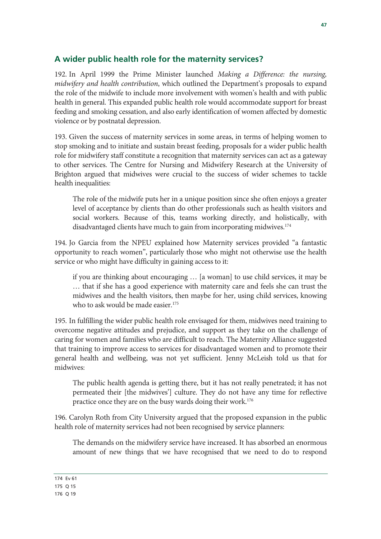### **A wider public health role for the maternity services?**

192. In April 1999 the Prime Minister launched *Making a Difference: the nursing, midwifery and health contribution*, which outlined the Department's proposals to expand the role of the midwife to include more involvement with women's health and with public health in general. This expanded public health role would accommodate support for breast feeding and smoking cessation, and also early identification of women affected by domestic violence or by postnatal depression.

193. Given the success of maternity services in some areas, in terms of helping women to stop smoking and to initiate and sustain breast feeding, proposals for a wider public health role for midwifery staff constitute a recognition that maternity services can act as a gateway to other services. The Centre for Nursing and Midwifery Research at the University of Brighton argued that midwives were crucial to the success of wider schemes to tackle health inequalities:

The role of the midwife puts her in a unique position since she often enjoys a greater level of acceptance by clients than do other professionals such as health visitors and social workers. Because of this, teams working directly, and holistically, with disadvantaged clients have much to gain from incorporating midwives.<sup>174</sup>

194. Jo Garcia from the NPEU explained how Maternity services provided "a fantastic opportunity to reach women", particularly those who might not otherwise use the health service or who might have difficulty in gaining access to it:

if you are thinking about encouraging … [a woman] to use child services, it may be … that if she has a good experience with maternity care and feels she can trust the midwives and the health visitors, then maybe for her, using child services, knowing who to ask would be made easier.<sup>175</sup>

195. In fulfilling the wider public health role envisaged for them, midwives need training to overcome negative attitudes and prejudice, and support as they take on the challenge of caring for women and families who are difficult to reach. The Maternity Alliance suggested that training to improve access to services for disadvantaged women and to promote their general health and wellbeing, was not yet sufficient. Jenny McLeish told us that for midwives:

The public health agenda is getting there, but it has not really penetrated; it has not permeated their [the midwives'] culture. They do not have any time for reflective practice once they are on the busy wards doing their work.176

196. Carolyn Roth from City University argued that the proposed expansion in the public health role of maternity services had not been recognised by service planners:

The demands on the midwifery service have increased. It has absorbed an enormous amount of new things that we have recognised that we need to do to respond

174 Ev 61

175 Q 15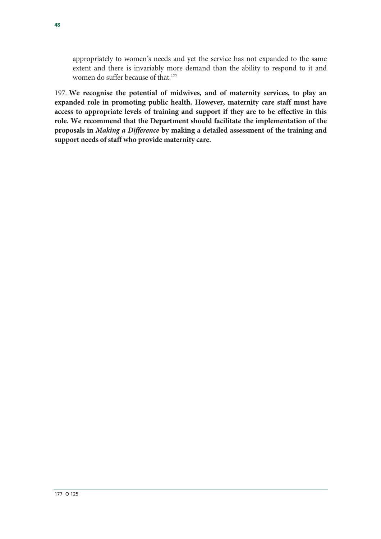appropriately to women's needs and yet the service has not expanded to the same extent and there is invariably more demand than the ability to respond to it and women do suffer because of that.177

197. **We recognise the potential of midwives, and of maternity services, to play an expanded role in promoting public health. However, maternity care staff must have access to appropriate levels of training and support if they are to be effective in this role. We recommend that the Department should facilitate the implementation of the proposals in** *Making a Difference* **by making a detailed assessment of the training and support needs of staff who provide maternity care.**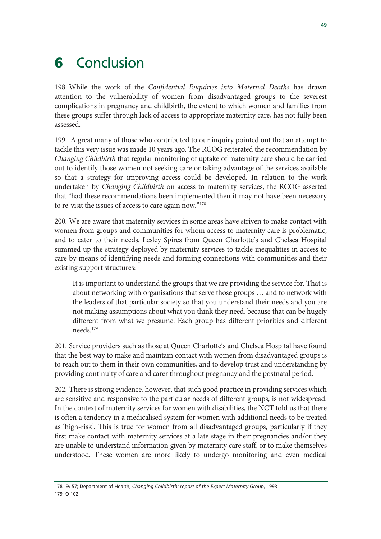# **6** Conclusion

198. While the work of the *Confidential Enquiries into Maternal Deaths* has drawn attention to the vulnerability of women from disadvantaged groups to the severest complications in pregnancy and childbirth, the extent to which women and families from these groups suffer through lack of access to appropriate maternity care, has not fully been assessed.

199. A great many of those who contributed to our inquiry pointed out that an attempt to tackle this very issue was made 10 years ago. The RCOG reiterated the recommendation by *Changing Childbirth* that regular monitoring of uptake of maternity care should be carried out to identify those women not seeking care or taking advantage of the services available so that a strategy for improving access could be developed. In relation to the work undertaken by *Changing Childbirth* on access to maternity services, the RCOG asserted that "had these recommendations been implemented then it may not have been necessary to re-visit the issues of access to care again now."178

200. We are aware that maternity services in some areas have striven to make contact with women from groups and communities for whom access to maternity care is problematic, and to cater to their needs. Lesley Spires from Queen Charlotte's and Chelsea Hospital summed up the strategy deployed by maternity services to tackle inequalities in access to care by means of identifying needs and forming connections with communities and their existing support structures:

It is important to understand the groups that we are providing the service for. That is about networking with organisations that serve those groups … and to network with the leaders of that particular society so that you understand their needs and you are not making assumptions about what you think they need, because that can be hugely different from what we presume. Each group has different priorities and different needs.179

201. Service providers such as those at Queen Charlotte's and Chelsea Hospital have found that the best way to make and maintain contact with women from disadvantaged groups is to reach out to them in their own communities, and to develop trust and understanding by providing continuity of care and carer throughout pregnancy and the postnatal period.

202. There is strong evidence, however, that such good practice in providing services which are sensitive and responsive to the particular needs of different groups, is not widespread. In the context of maternity services for women with disabilities, the NCT told us that there is often a tendency in a medicalised system for women with additional needs to be treated as 'high-risk'. This is true for women from all disadvantaged groups, particularly if they first make contact with maternity services at a late stage in their pregnancies and/or they are unable to understand information given by maternity care staff, or to make themselves understood. These women are more likely to undergo monitoring and even medical

<sup>178</sup> Ev 57; Department of Health, *Changing Childbirth: report of the Expert Maternity Group*, 1993 179 Q 102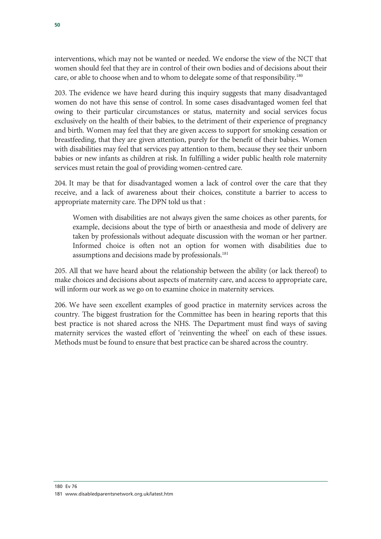interventions, which may not be wanted or needed. We endorse the view of the NCT that women should feel that they are in control of their own bodies and of decisions about their care, or able to choose when and to whom to delegate some of that responsibility.180

203. The evidence we have heard during this inquiry suggests that many disadvantaged women do not have this sense of control. In some cases disadvantaged women feel that owing to their particular circumstances or status, maternity and social services focus exclusively on the health of their babies, to the detriment of their experience of pregnancy and birth. Women may feel that they are given access to support for smoking cessation or breastfeeding, that they are given attention, purely for the benefit of their babies. Women with disabilities may feel that services pay attention to them, because they see their unborn babies or new infants as children at risk. In fulfilling a wider public health role maternity services must retain the goal of providing women-centred care.

204. It may be that for disadvantaged women a lack of control over the care that they receive, and a lack of awareness about their choices, constitute a barrier to access to appropriate maternity care. The DPN told us that :

Women with disabilities are not always given the same choices as other parents, for example, decisions about the type of birth or anaesthesia and mode of delivery are taken by professionals without adequate discussion with the woman or her partner. Informed choice is often not an option for women with disabilities due to assumptions and decisions made by professionals.<sup>181</sup>

205. All that we have heard about the relationship between the ability (or lack thereof) to make choices and decisions about aspects of maternity care, and access to appropriate care, will inform our work as we go on to examine choice in maternity services.

206. We have seen excellent examples of good practice in maternity services across the country. The biggest frustration for the Committee has been in hearing reports that this best practice is not shared across the NHS. The Department must find ways of saving maternity services the wasted effort of 'reinventing the wheel' on each of these issues. Methods must be found to ensure that best practice can be shared across the country.

<sup>181</sup> www.disabledparentsnetwork.org.uk/latest.htm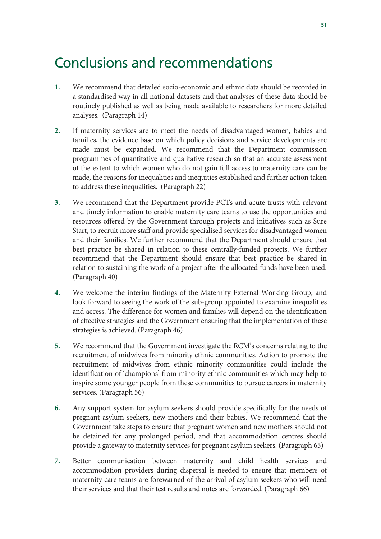### Conclusions and recommendations

- **1.** We recommend that detailed socio-economic and ethnic data should be recorded in a standardised way in all national datasets and that analyses of these data should be routinely published as well as being made available to researchers for more detailed analyses. (Paragraph 14)
- **2.** If maternity services are to meet the needs of disadvantaged women, babies and families, the evidence base on which policy decisions and service developments are made must be expanded. We recommend that the Department commission programmes of quantitative and qualitative research so that an accurate assessment of the extent to which women who do not gain full access to maternity care can be made, the reasons for inequalities and inequities established and further action taken to address these inequalities. (Paragraph 22)
- **3.** We recommend that the Department provide PCTs and acute trusts with relevant and timely information to enable maternity care teams to use the opportunities and resources offered by the Government through projects and initiatives such as Sure Start, to recruit more staff and provide specialised services for disadvantaged women and their families. We further recommend that the Department should ensure that best practice be shared in relation to these centrally-funded projects. We further recommend that the Department should ensure that best practice be shared in relation to sustaining the work of a project after the allocated funds have been used. (Paragraph 40)
- **4.** We welcome the interim findings of the Maternity External Working Group, and look forward to seeing the work of the sub-group appointed to examine inequalities and access. The difference for women and families will depend on the identification of effective strategies and the Government ensuring that the implementation of these strategies is achieved. (Paragraph 46)
- **5.** We recommend that the Government investigate the RCM's concerns relating to the recruitment of midwives from minority ethnic communities. Action to promote the recruitment of midwives from ethnic minority communities could include the identification of 'champions' from minority ethnic communities which may help to inspire some younger people from these communities to pursue careers in maternity services. (Paragraph 56)
- **6.** Any support system for asylum seekers should provide specifically for the needs of pregnant asylum seekers, new mothers and their babies. We recommend that the Government take steps to ensure that pregnant women and new mothers should not be detained for any prolonged period, and that accommodation centres should provide a gateway to maternity services for pregnant asylum seekers. (Paragraph 65)
- **7.** Better communication between maternity and child health services and accommodation providers during dispersal is needed to ensure that members of maternity care teams are forewarned of the arrival of asylum seekers who will need their services and that their test results and notes are forwarded. (Paragraph 66)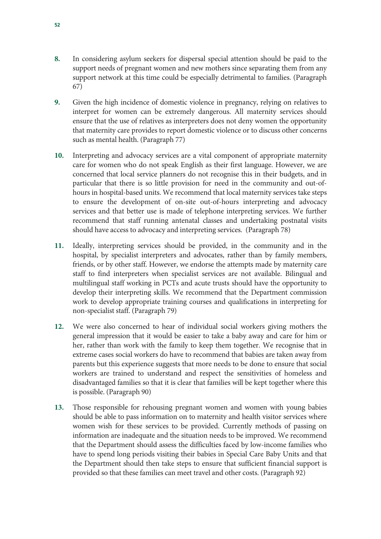- **8.** In considering asylum seekers for dispersal special attention should be paid to the support needs of pregnant women and new mothers since separating them from any support network at this time could be especially detrimental to families. (Paragraph 67)
- **9.** Given the high incidence of domestic violence in pregnancy, relying on relatives to interpret for women can be extremely dangerous. All maternity services should ensure that the use of relatives as interpreters does not deny women the opportunity that maternity care provides to report domestic violence or to discuss other concerns such as mental health. (Paragraph 77)
- **10.** Interpreting and advocacy services are a vital component of appropriate maternity care for women who do not speak English as their first language. However, we are concerned that local service planners do not recognise this in their budgets, and in particular that there is so little provision for need in the community and out-ofhours in hospital-based units. We recommend that local maternity services take steps to ensure the development of on-site out-of-hours interpreting and advocacy services and that better use is made of telephone interpreting services. We further recommend that staff running antenatal classes and undertaking postnatal visits should have access to advocacy and interpreting services. (Paragraph 78)
- **11.** Ideally, interpreting services should be provided, in the community and in the hospital, by specialist interpreters and advocates, rather than by family members, friends, or by other staff. However, we endorse the attempts made by maternity care staff to find interpreters when specialist services are not available. Bilingual and multilingual staff working in PCTs and acute trusts should have the opportunity to develop their interpreting skills. We recommend that the Department commission work to develop appropriate training courses and qualifications in interpreting for non-specialist staff. (Paragraph 79)
- **12.** We were also concerned to hear of individual social workers giving mothers the general impression that it would be easier to take a baby away and care for him or her, rather than work with the family to keep them together. We recognise that in extreme cases social workers do have to recommend that babies are taken away from parents but this experience suggests that more needs to be done to ensure that social workers are trained to understand and respect the sensitivities of homeless and disadvantaged families so that it is clear that families will be kept together where this is possible. (Paragraph 90)
- **13.** Those responsible for rehousing pregnant women and women with young babies should be able to pass information on to maternity and health visitor services where women wish for these services to be provided. Currently methods of passing on information are inadequate and the situation needs to be improved. We recommend that the Department should assess the difficulties faced by low-income families who have to spend long periods visiting their babies in Special Care Baby Units and that the Department should then take steps to ensure that sufficient financial support is provided so that these families can meet travel and other costs. (Paragraph 92)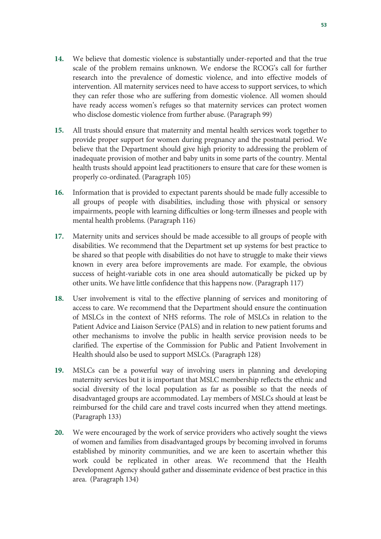- **14.** We believe that domestic violence is substantially under-reported and that the true scale of the problem remains unknown. We endorse the RCOG's call for further research into the prevalence of domestic violence, and into effective models of intervention. All maternity services need to have access to support services, to which they can refer those who are suffering from domestic violence. All women should have ready access women's refuges so that maternity services can protect women who disclose domestic violence from further abuse. (Paragraph 99)
- **15.** All trusts should ensure that maternity and mental health services work together to provide proper support for women during pregnancy and the postnatal period. We believe that the Department should give high priority to addressing the problem of inadequate provision of mother and baby units in some parts of the country. Mental health trusts should appoint lead practitioners to ensure that care for these women is properly co-ordinated. (Paragraph 105)
- **16.** Information that is provided to expectant parents should be made fully accessible to all groups of people with disabilities, including those with physical or sensory impairments, people with learning difficulties or long-term illnesses and people with mental health problems. (Paragraph 116)
- **17.** Maternity units and services should be made accessible to all groups of people with disabilities. We recommend that the Department set up systems for best practice to be shared so that people with disabilities do not have to struggle to make their views known in every area before improvements are made. For example, the obvious success of height-variable cots in one area should automatically be picked up by other units. We have little confidence that this happens now. (Paragraph 117)
- **18.** User involvement is vital to the effective planning of services and monitoring of access to care. We recommend that the Department should ensure the continuation of MSLCs in the context of NHS reforms. The role of MSLCs in relation to the Patient Advice and Liaison Service (PALS) and in relation to new patient forums and other mechanisms to involve the public in health service provision needs to be clarified. The expertise of the Commission for Public and Patient Involvement in Health should also be used to support MSLCs. (Paragraph 128)
- **19.** MSLCs can be a powerful way of involving users in planning and developing maternity services but it is important that MSLC membership reflects the ethnic and social diversity of the local population as far as possible so that the needs of disadvantaged groups are accommodated. Lay members of MSLCs should at least be reimbursed for the child care and travel costs incurred when they attend meetings. (Paragraph 133)
- **20.** We were encouraged by the work of service providers who actively sought the views of women and families from disadvantaged groups by becoming involved in forums established by minority communities, and we are keen to ascertain whether this work could be replicated in other areas. We recommend that the Health Development Agency should gather and disseminate evidence of best practice in this area. (Paragraph 134)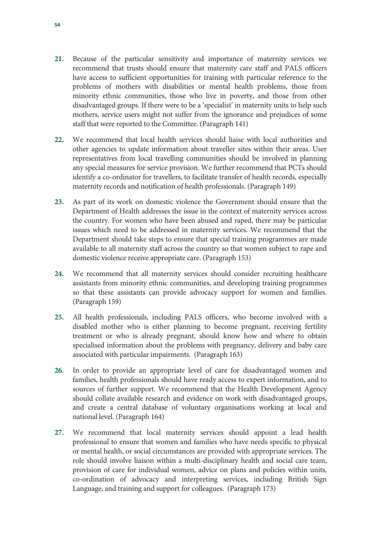- **21.** Because of the particular sensitivity and importance of maternity services we recommend that trusts should ensure that maternity care staff and PALS officers have access to sufficient opportunities for training with particular reference to the problems of mothers with disabilities or mental health problems, those from minority ethnic communities, those who live in poverty, and those from other disadvantaged groups. If there were to be a 'specialist' in maternity units to help such mothers, service users might not suffer from the ignorance and prejudices of some staff that were reported to the Committee. (Paragraph 141)
- **22.** We recommend that local health services should liaise with local authorities and other agencies to update information about traveller sites within their areas. User representatives from local travelling communities should be involved in planning any special measures for service provision. We further recommend that PCTs should identify a co-ordinator for travellers, to facilitate transfer of health records, especially maternity records and notification of health professionals. (Paragraph 149)
- **23.** As part of its work on domestic violence the Government should ensure that the Department of Health addresses the issue in the context of maternity services across the country. For women who have been abused and raped, there may be particular issues which need to be addressed in maternity services. We recommend that the Department should take steps to ensure that special training programmes are made available to all maternity staff across the country so that women subject to rape and domestic violence receive appropriate care. (Paragraph 153)
- **24.** We recommend that all maternity services should consider recruiting healthcare assistants from minority ethnic communities, and developing training programmes so that these assistants can provide advocacy support for women and families. (Paragraph 159)
- **25.** All health professionals, including PALS officers, who become involved with a disabled mother who is either planning to become pregnant, receiving fertility treatment or who is already pregnant, should know how and where to obtain specialised information about the problems with pregnancy, delivery and baby care associated with particular impairments. (Paragraph 163)
- **26.** In order to provide an appropriate level of care for disadvantaged women and families, health professionals should have ready access to expert information, and to sources of further support. We recommend that the Health Development Agency should collate available research and evidence on work with disadvantaged groups, and create a central database of voluntary organisations working at local and national level. (Paragraph 164)
- **27.** We recommend that local maternity services should appoint a lead health professional to ensure that women and families who have needs specific to physical or mental health, or social circumstances are provided with appropriate services. The role should involve liaison within a multi-disciplinary health and social care team, provision of care for individual women, advice on plans and policies within units, co-ordination of advocacy and interpreting services, including British Sign Language, and training and support for colleagues. (Paragraph 173)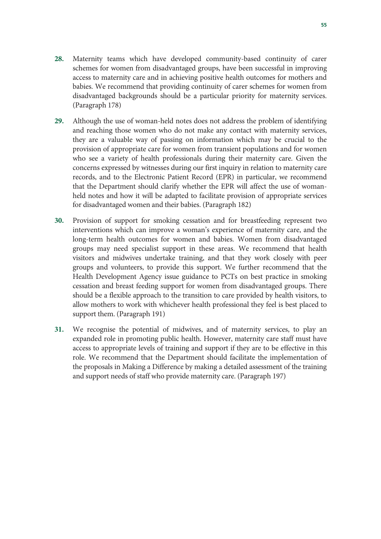- **28.** Maternity teams which have developed community-based continuity of carer schemes for women from disadvantaged groups, have been successful in improving access to maternity care and in achieving positive health outcomes for mothers and babies. We recommend that providing continuity of carer schemes for women from disadvantaged backgrounds should be a particular priority for maternity services. (Paragraph 178)
- **29.** Although the use of woman-held notes does not address the problem of identifying and reaching those women who do not make any contact with maternity services, they are a valuable way of passing on information which may be crucial to the provision of appropriate care for women from transient populations and for women who see a variety of health professionals during their maternity care. Given the concerns expressed by witnesses during our first inquiry in relation to maternity care records, and to the Electronic Patient Record (EPR) in particular, we recommend that the Department should clarify whether the EPR will affect the use of womanheld notes and how it will be adapted to facilitate provision of appropriate services for disadvantaged women and their babies. (Paragraph 182)
- **30.** Provision of support for smoking cessation and for breastfeeding represent two interventions which can improve a woman's experience of maternity care, and the long-term health outcomes for women and babies. Women from disadvantaged groups may need specialist support in these areas. We recommend that health visitors and midwives undertake training, and that they work closely with peer groups and volunteers, to provide this support. We further recommend that the Health Development Agency issue guidance to PCTs on best practice in smoking cessation and breast feeding support for women from disadvantaged groups. There should be a flexible approach to the transition to care provided by health visitors, to allow mothers to work with whichever health professional they feel is best placed to support them. (Paragraph 191)
- **31.** We recognise the potential of midwives, and of maternity services, to play an expanded role in promoting public health. However, maternity care staff must have access to appropriate levels of training and support if they are to be effective in this role. We recommend that the Department should facilitate the implementation of the proposals in Making a Difference by making a detailed assessment of the training and support needs of staff who provide maternity care. (Paragraph 197)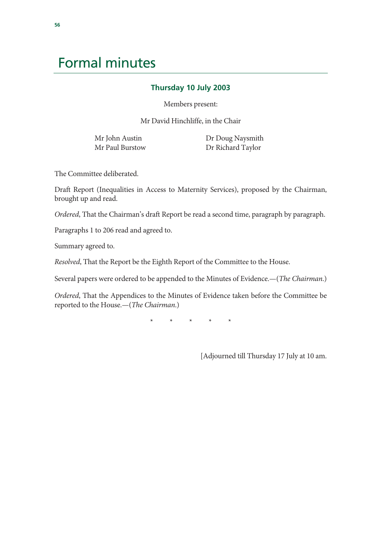## Formal minutes

#### **Thursday 10 July 2003**

Members present:

Mr David Hinchliffe, in the Chair

Mr John Austin Mr Paul Burstow  Dr Doug Naysmith Dr Richard Taylor

The Committee deliberated.

Draft Report (Inequalities in Access to Maternity Services), proposed by the Chairman, brought up and read.

*Ordered*, That the Chairman's draft Report be read a second time, paragraph by paragraph.

Paragraphs 1 to 206 read and agreed to.

Summary agreed to.

*Resolved*, That the Report be the Eighth Report of the Committee to the House.

Several papers were ordered to be appended to the Minutes of Evidence.—(*The Chairman*.)

*Ordered*, That the Appendices to the Minutes of Evidence taken before the Committee be reported to the House.—(*The Chairman*.)

\* \* \* \* \*

[Adjourned till Thursday 17 July at 10 am.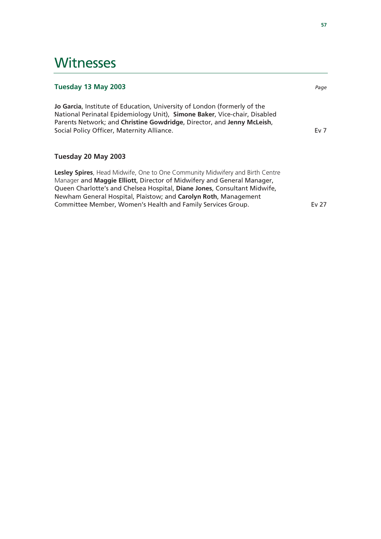### **Witnesses**

| Tuesday 13 May 2003                                                                                                                                                                                                                                                                                                                                                          | Page            |
|------------------------------------------------------------------------------------------------------------------------------------------------------------------------------------------------------------------------------------------------------------------------------------------------------------------------------------------------------------------------------|-----------------|
| Jo Garcia, Institute of Education, University of London (formerly of the<br>National Perinatal Epidemiology Unit), Simone Baker, Vice-chair, Disabled<br>Parents Network; and Christine Gowdridge, Director, and Jenny McLeish,<br>Social Policy Officer, Maternity Alliance.                                                                                                | Ev <sub>7</sub> |
| Tuesday 20 May 2003                                                                                                                                                                                                                                                                                                                                                          |                 |
| Lesley Spires, Head Midwife, One to One Community Midwifery and Birth Centre<br>Manager and <b>Maggie Elliott</b> , Director of Midwifery and General Manager,<br>Queen Charlotte's and Chelsea Hospital, Diane Jones, Consultant Midwife,<br>Newham General Hospital, Plaistow; and Carolyn Roth, Management<br>Committee Member, Women's Health and Family Services Group. | Ev 27           |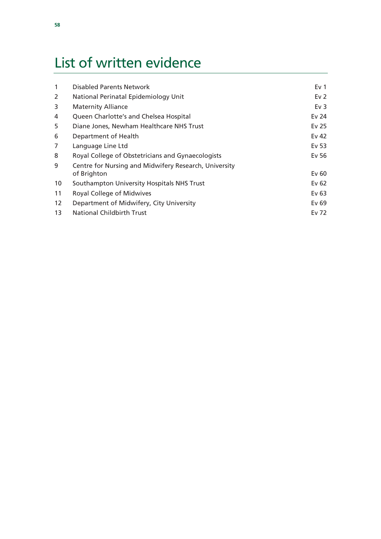# List of written evidence

| 1  | <b>Disabled Parents Network</b>                                      | Ev <sub>1</sub> |
|----|----------------------------------------------------------------------|-----------------|
| 2  | National Perinatal Epidemiology Unit                                 | Ev <sub>2</sub> |
| 3  | <b>Maternity Alliance</b>                                            | Ev $3$          |
| 4  | Queen Charlotte's and Chelsea Hospital                               | Ev 24           |
| 5  | Diane Jones, Newham Healthcare NHS Trust                             | Ev 25           |
| 6  | Department of Health                                                 | Ev 42           |
| 7  | Language Line Ltd                                                    | Ev 53           |
| 8  | Royal College of Obstetricians and Gynaecologists                    | Ev 56           |
| 9  | Centre for Nursing and Midwifery Research, University<br>of Brighton | Ev60            |
| 10 | Southampton University Hospitals NHS Trust                           | Ev 62           |
| 11 | Royal College of Midwives                                            | Ev 63           |
| 12 | Department of Midwifery, City University                             | Ev 69           |
| 13 | <b>National Childbirth Trust</b>                                     | Ev 72           |